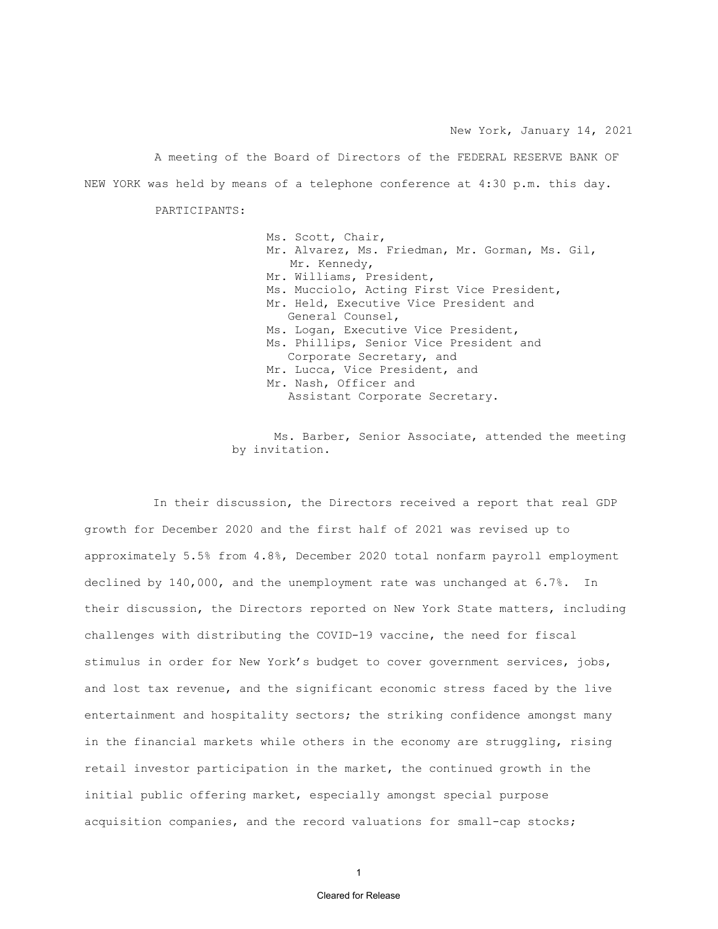New York, January 14, 2021

A meeting of the Board of Directors of the FEDERAL RESERVE BANK OF NEW YORK was held by means of a telephone conference at 4:30 p.m. this day.

PARTICIPANTS:

Ms. Scott, Chair, Mr. Alvarez, Ms. Friedman, Mr. Gorman, Ms. Gil, Mr. Kennedy, Mr. Williams, President, Ms. Mucciolo, Acting First Vice President, Mr. Held, Executive Vice President and General Counsel, Ms. Logan, Executive Vice President, Ms. Phillips, Senior Vice President and Corporate Secretary, and Mr. Lucca, Vice President, and Mr. Nash, Officer and Assistant Corporate Secretary.

Ms. Barber, Senior Associate, attended the meeting by invitation.

In their discussion, the Directors received a report that real GDP growth for December 2020 and the first half of 2021 was revised up to approximately 5.5% from 4.8%, December 2020 total nonfarm payroll employment declined by 140,000, and the unemployment rate was unchanged at 6.7%. In their discussion, the Directors reported on New York State matters, including challenges with distributing the COVID-19 vaccine, the need for fiscal stimulus in order for New York's budget to cover government services, jobs, and lost tax revenue, and the significant economic stress faced by the live entertainment and hospitality sectors; the striking confidence amongst many in the financial markets while others in the economy are struggling, rising retail investor participation in the market, the continued growth in the initial public offering market, especially amongst special purpose acquisition companies, and the record valuations for small-cap stocks;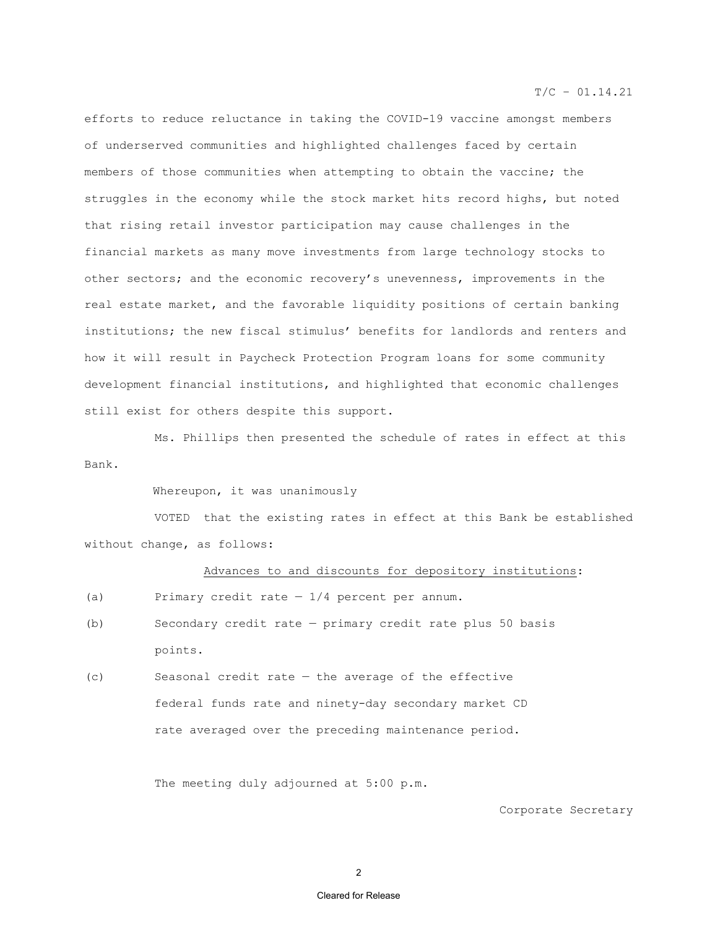$T/C - 01.14.21$ 

efforts to reduce reluctance in taking the COVID-19 vaccine amongst members of underserved communities and highlighted challenges faced by certain members of those communities when attempting to obtain the vaccine; the struggles in the economy while the stock market hits record highs, but noted that rising retail investor participation may cause challenges in the financial markets as many move investments from large technology stocks to other sectors; and the economic recovery's unevenness, improvements in the real estate market, and the favorable liquidity positions of certain banking institutions; the new fiscal stimulus' benefits for landlords and renters and how it will result in Paycheck Protection Program loans for some community development financial institutions, and highlighted that economic challenges still exist for others despite this support.

 Ms. Phillips then presented the schedule of rates in effect at this Bank.

Whereupon, it was unanimously

VOTED that the existing rates in effect at this Bank be established without change, as follows:

#### Advances to and discounts for depository institutions:

- (a) Primary credit rate  $-1/4$  percent per annum.
- (b) Secondary credit rate primary credit rate plus 50 basis points.
- (c) Seasonal credit rate the average of the effective federal funds rate and ninety-day secondary market CD rate averaged over the preceding maintenance period.

The meeting duly adjourned at 5:00 p.m.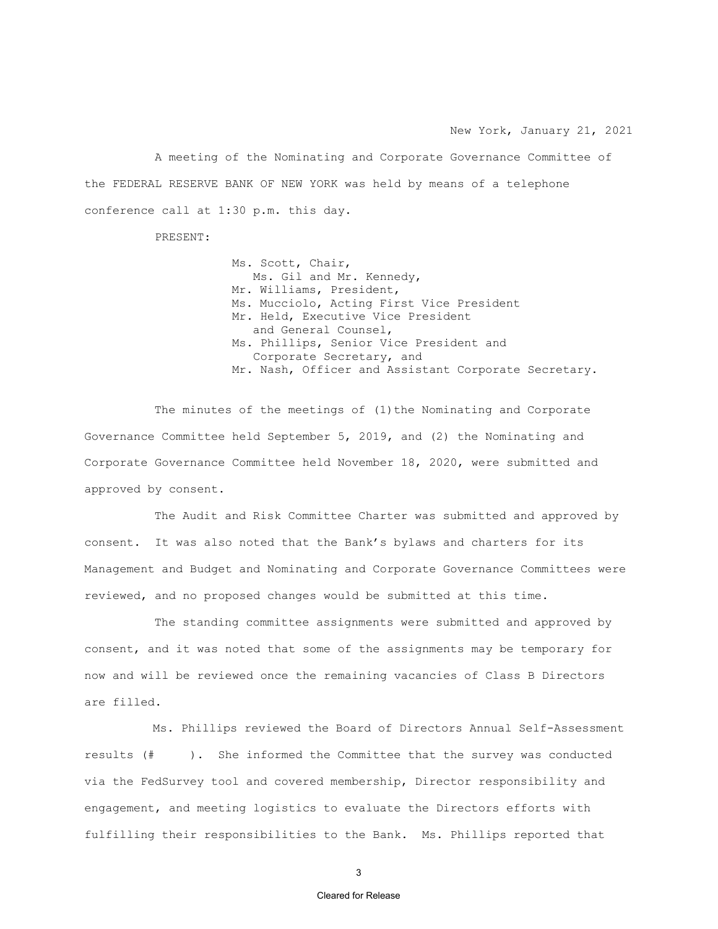New York, January 21, 2021

 A meeting of the Nominating and Corporate Governance Committee of the FEDERAL RESERVE BANK OF NEW YORK was held by means of a telephone conference call at 1:30 p.m. this day.

PRESENT:

 Ms. Scott, Chair, Ms. Gil and Mr. Kennedy, Mr. Williams, President, Ms. Mucciolo, Acting First Vice President Mr. Held, Executive Vice President and General Counsel, Ms. Phillips, Senior Vice President and Corporate Secretary, and Mr. Nash, Officer and Assistant Corporate Secretary.

The minutes of the meetings of (1) the Nominating and Corporate Governance Committee held September 5, 2019, and (2) the Nominating and Corporate Governance Committee held November 18, 2020, were submitted and approved by consent.

The Audit and Risk Committee Charter was submitted and approved by consent. It was also noted that the Bank's bylaws and charters for its Management and Budget and Nominating and Corporate Governance Committees were reviewed, and no proposed changes would be submitted at this time.

The standing committee assignments were submitted and approved by consent, and it was noted that some of the assignments may be temporary for now and will be reviewed once the remaining vacancies of Class B Directors are filled.

Ms. Phillips reviewed the Board of Directors Annual Self-Assessment results (# ). She informed the Committee that the survey was conducted via the FedSurvey tool and covered membership, Director responsibility and engagement, and meeting logistics to evaluate the Directors efforts with fulfilling their responsibilities to the Bank. Ms. Phillips reported that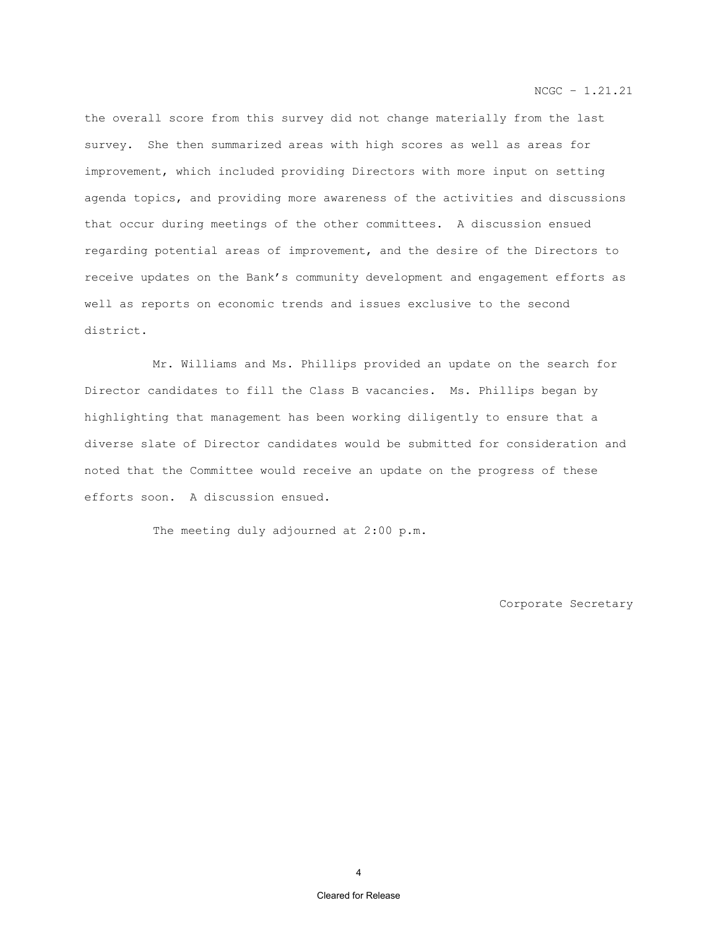NCGC – 1.21.21

the overall score from this survey did not change materially from the last survey. She then summarized areas with high scores as well as areas for improvement, which included providing Directors with more input on setting agenda topics, and providing more awareness of the activities and discussions that occur during meetings of the other committees. A discussion ensued regarding potential areas of improvement, and the desire of the Directors to receive updates on the Bank's community development and engagement efforts as well as reports on economic trends and issues exclusive to the second district.

Mr. Williams and Ms. Phillips provided an update on the search for Director candidates to fill the Class B vacancies. Ms. Phillips began by highlighting that management has been working diligently to ensure that a diverse slate of Director candidates would be submitted for consideration and noted that the Committee would receive an update on the progress of these efforts soon. A discussion ensued.

The meeting duly adjourned at 2:00 p.m.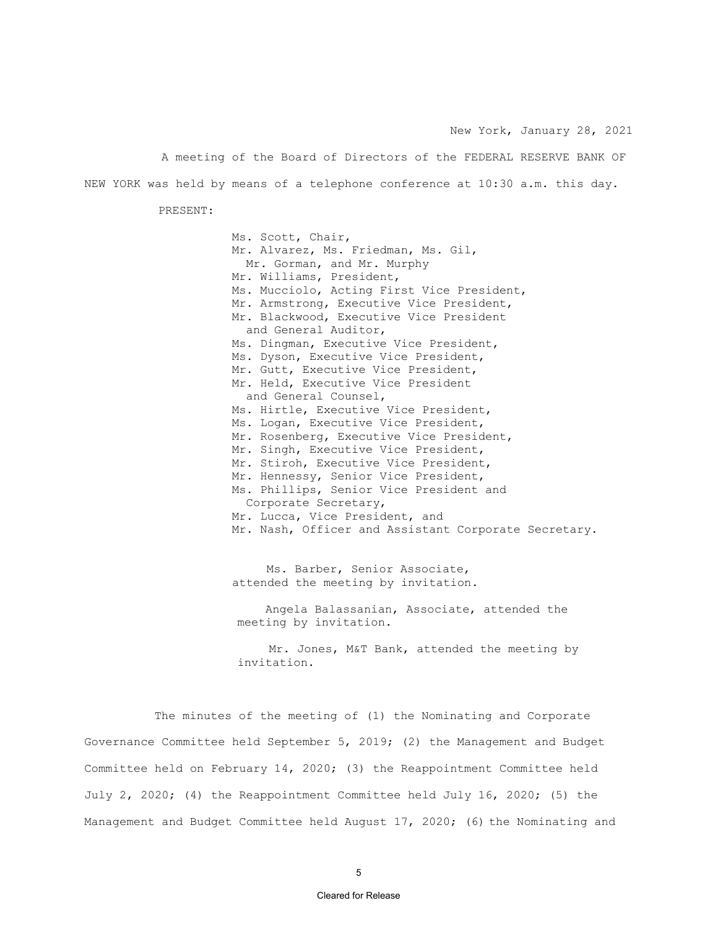New York, January 28, 2021

A meeting of the Board of Directors of the FEDERAL RESERVE BANK OF NEW YORK was held by means of a telephone conference at 10:30 a.m. this day.

PRESENT:

Ms. Scott, Chair, Mr. Alvarez, Ms. Friedman, Ms. Gil, Mr. Gorman, and Mr. Murphy Mr. Williams, President, Ms. Mucciolo, Acting First Vice President, Mr. Armstrong, Executive Vice President, Mr. Blackwood, Executive Vice President and General Auditor, Ms. Dingman, Executive Vice President, Ms. Dyson, Executive Vice President, Mr. Gutt, Executive Vice President, Mr. Held, Executive Vice President and General Counsel, Ms. Hirtle, Executive Vice President, Ms. Logan, Executive Vice President, Mr. Rosenberg, Executive Vice President, Mr. Singh, Executive Vice President, Mr. Stiroh, Executive Vice President, Mr. Hennessy, Senior Vice President, Ms. Phillips, Senior Vice President and Corporate Secretary, Mr. Lucca, Vice President, and Mr. Nash, Officer and Assistant Corporate Secretary.

Ms. Barber, Senior Associate, attended the meeting by invitation.

 Angela Balassanian, Associate, attended the meeting by invitation.

Mr. Jones, M&T Bank, attended the meeting by invitation.

The minutes of the meeting of (1) the Nominating and Corporate Governance Committee held September 5, 2019; (2) the Management and Budget Committee held on February 14, 2020; (3) the Reappointment Committee held July 2, 2020; (4) the Reappointment Committee held July 16, 2020; (5) the Management and Budget Committee held August 17, 2020; (6) the Nominating and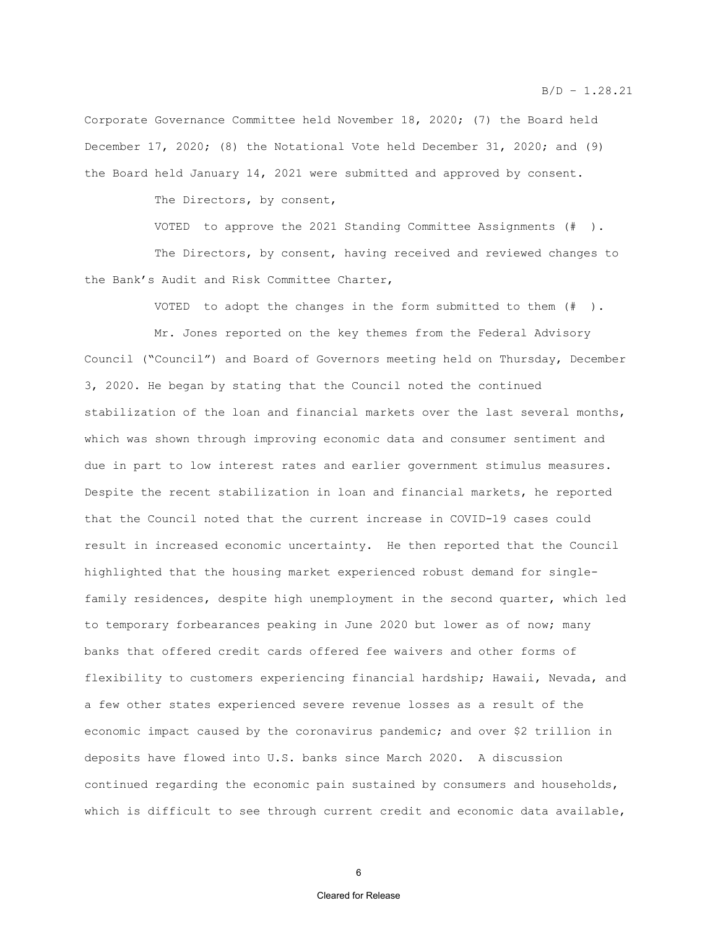Corporate Governance Committee held November 18, 2020; (7) the Board held December 17, 2020; (8) the Notational Vote held December 31, 2020; and (9) the Board held January 14, 2021 were submitted and approved by consent.

The Directors, by consent,

VOTED to approve the 2021 Standing Committee Assignments (# ).

The Directors, by consent, having received and reviewed changes to the Bank's Audit and Risk Committee Charter,

VOTED to adopt the changes in the form submitted to them (# ).

Mr. Jones reported on the key themes from the Federal Advisory Council ("Council") and Board of Governors meeting held on Thursday, December 3, 2020. He began by stating that the Council noted the continued stabilization of the loan and financial markets over the last several months, which was shown through improving economic data and consumer sentiment and due in part to low interest rates and earlier government stimulus measures. Despite the recent stabilization in loan and financial markets, he reported that the Council noted that the current increase in COVID-19 cases could result in increased economic uncertainty. He then reported that the Council highlighted that the housing market experienced robust demand for singlefamily residences, despite high unemployment in the second quarter, which led to temporary forbearances peaking in June 2020 but lower as of now; many banks that offered credit cards offered fee waivers and other forms of flexibility to customers experiencing financial hardship; Hawaii, Nevada, and a few other states experienced severe revenue losses as a result of the economic impact caused by the coronavirus pandemic; and over \$2 trillion in deposits have flowed into U.S. banks since March 2020. A discussion continued regarding the economic pain sustained by consumers and households, which is difficult to see through current credit and economic data available,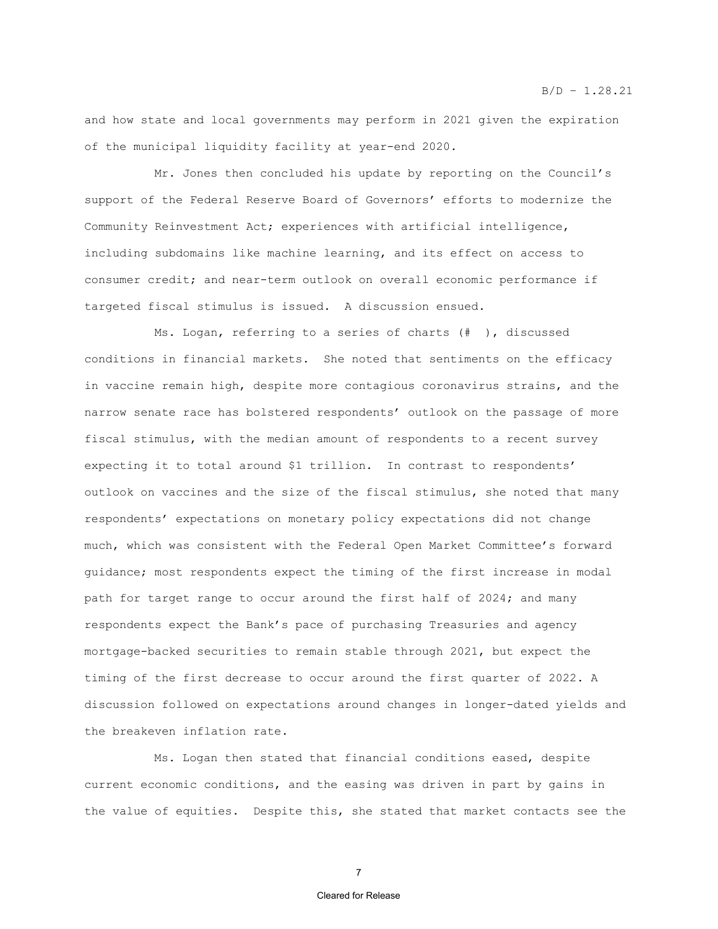and how state and local governments may perform in 2021 given the expiration of the municipal liquidity facility at year-end 2020.

Mr. Jones then concluded his update by reporting on the Council's support of the Federal Reserve Board of Governors' efforts to modernize the Community Reinvestment Act; experiences with artificial intelligence, including subdomains like machine learning, and its effect on access to consumer credit; and near-term outlook on overall economic performance if targeted fiscal stimulus is issued. A discussion ensued.

Ms. Logan, referring to a series of charts (# ), discussed conditions in financial markets. She noted that sentiments on the efficacy in vaccine remain high, despite more contagious coronavirus strains, and the narrow senate race has bolstered respondents' outlook on the passage of more fiscal stimulus, with the median amount of respondents to a recent survey expecting it to total around \$1 trillion. In contrast to respondents' outlook on vaccines and the size of the fiscal stimulus, she noted that many respondents' expectations on monetary policy expectations did not change much, which was consistent with the Federal Open Market Committee's forward guidance; most respondents expect the timing of the first increase in modal path for target range to occur around the first half of 2024; and many respondents expect the Bank's pace of purchasing Treasuries and agency mortgage-backed securities to remain stable through 2021, but expect the timing of the first decrease to occur around the first quarter of 2022. A discussion followed on expectations around changes in longer-dated yields and the breakeven inflation rate.

Ms. Logan then stated that financial conditions eased, despite current economic conditions, and the easing was driven in part by gains in the value of equities. Despite this, she stated that market contacts see the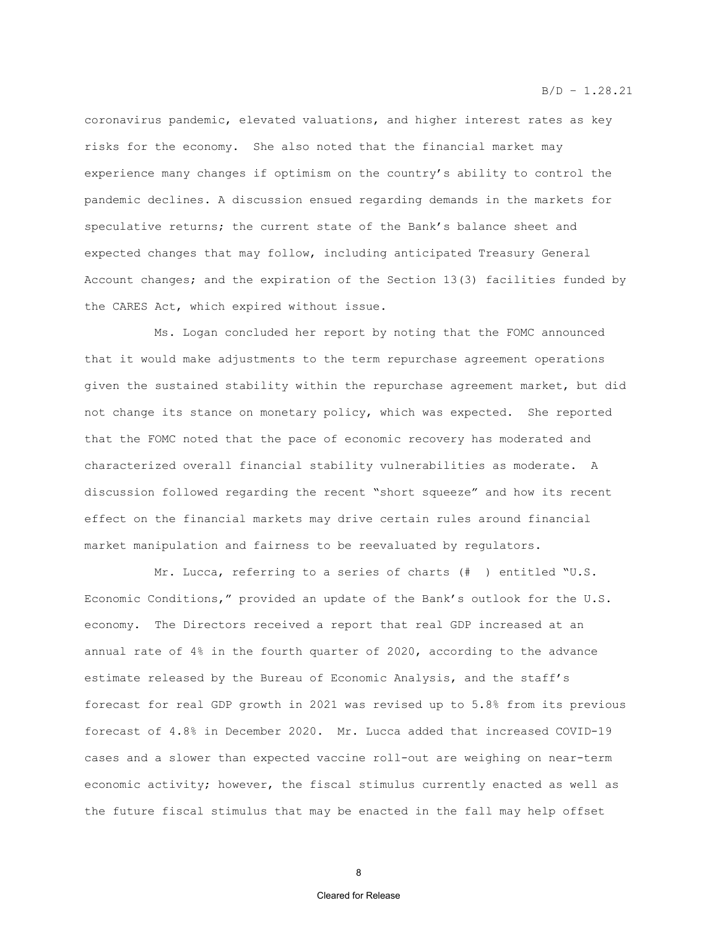$B/D - 1.28.21$ 

coronavirus pandemic, elevated valuations, and higher interest rates as key risks for the economy. She also noted that the financial market may experience many changes if optimism on the country's ability to control the pandemic declines. A discussion ensued regarding demands in the markets for speculative returns; the current state of the Bank's balance sheet and expected changes that may follow, including anticipated Treasury General Account changes; and the expiration of the Section 13(3) facilities funded by the CARES Act, which expired without issue.

Ms. Logan concluded her report by noting that the FOMC announced that it would make adjustments to the term repurchase agreement operations given the sustained stability within the repurchase agreement market, but did not change its stance on monetary policy, which was expected. She reported that the FOMC noted that the pace of economic recovery has moderated and characterized overall financial stability vulnerabilities as moderate. A discussion followed regarding the recent "short squeeze" and how its recent effect on the financial markets may drive certain rules around financial market manipulation and fairness to be reevaluated by regulators.

Mr. Lucca, referring to a series of charts (# ) entitled "U.S. Economic Conditions," provided an update of the Bank's outlook for the U.S. economy. The Directors received a report that real GDP increased at an annual rate of 4% in the fourth quarter of 2020, according to the advance estimate released by the Bureau of Economic Analysis, and the staff's forecast for real GDP growth in 2021 was revised up to 5.8% from its previous forecast of 4.8% in December 2020. Mr. Lucca added that increased COVID-19 cases and a slower than expected vaccine roll-out are weighing on near-term economic activity; however, the fiscal stimulus currently enacted as well as the future fiscal stimulus that may be enacted in the fall may help offset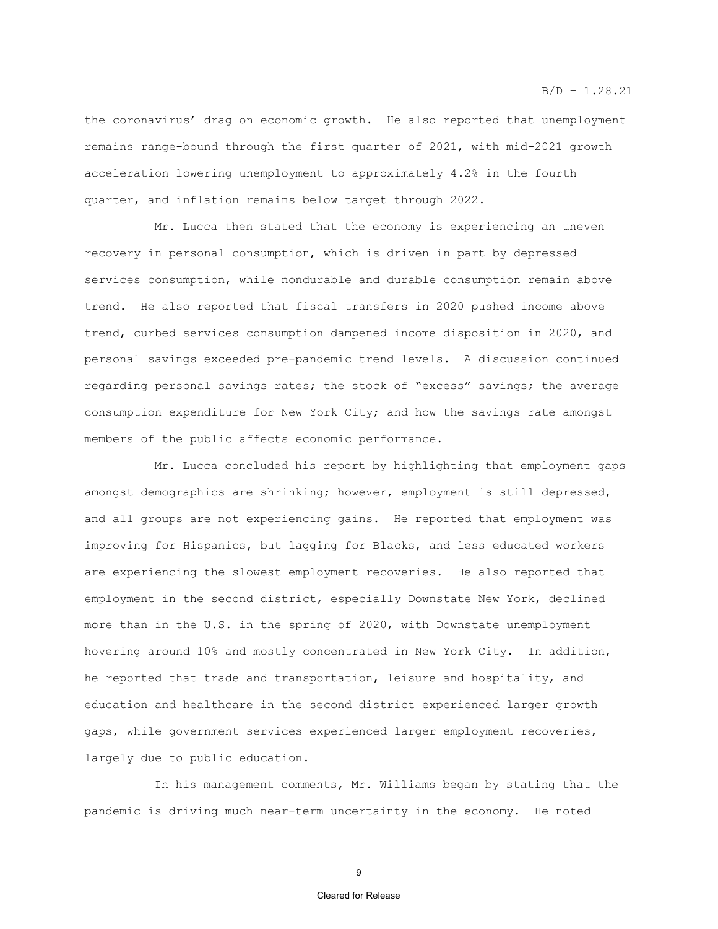#### $B/D - 1.28.21$

the coronavirus' drag on economic growth. He also reported that unemployment remains range-bound through the first quarter of 2021, with mid-2021 growth acceleration lowering unemployment to approximately 4.2% in the fourth quarter, and inflation remains below target through 2022.

Mr. Lucca then stated that the economy is experiencing an uneven recovery in personal consumption, which is driven in part by depressed services consumption, while nondurable and durable consumption remain above trend. He also reported that fiscal transfers in 2020 pushed income above trend, curbed services consumption dampened income disposition in 2020, and personal savings exceeded pre-pandemic trend levels. A discussion continued regarding personal savings rates; the stock of "excess" savings; the average consumption expenditure for New York City; and how the savings rate amongst members of the public affects economic performance.

Mr. Lucca concluded his report by highlighting that employment gaps amongst demographics are shrinking; however, employment is still depressed, and all groups are not experiencing gains. He reported that employment was improving for Hispanics, but lagging for Blacks, and less educated workers are experiencing the slowest employment recoveries. He also reported that employment in the second district, especially Downstate New York, declined more than in the U.S. in the spring of 2020, with Downstate unemployment hovering around 10% and mostly concentrated in New York City. In addition, he reported that trade and transportation, leisure and hospitality, and education and healthcare in the second district experienced larger growth gaps, while government services experienced larger employment recoveries, largely due to public education.

In his management comments, Mr. Williams began by stating that the pandemic is driving much near-term uncertainty in the economy. He noted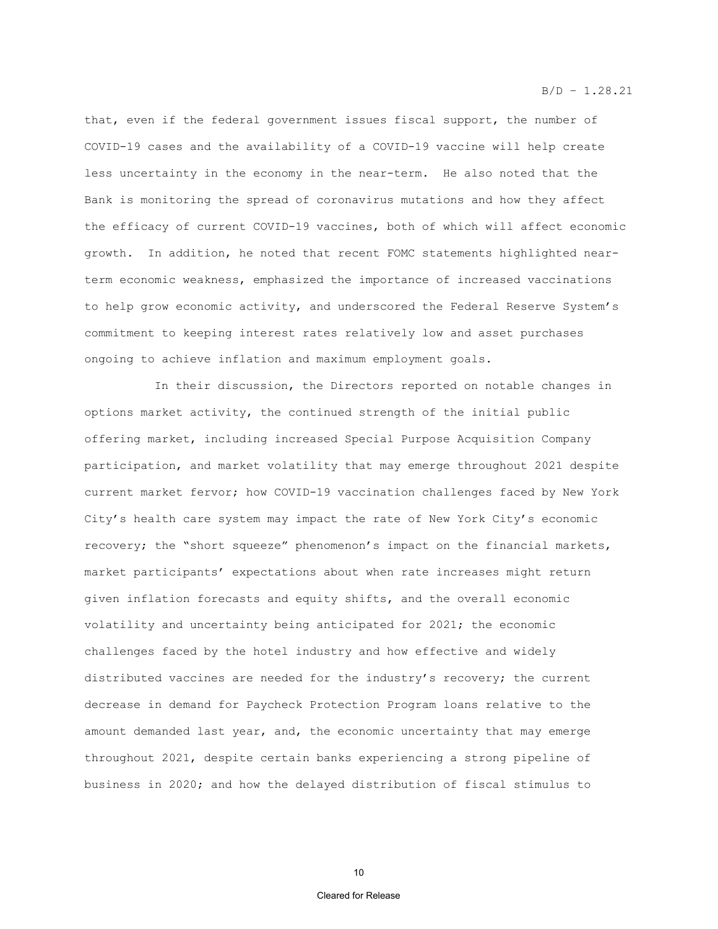that, even if the federal government issues fiscal support, the number of COVID-19 cases and the availability of a COVID-19 vaccine will help create less uncertainty in the economy in the near-term. He also noted that the Bank is monitoring the spread of coronavirus mutations and how they affect the efficacy of current COVID-19 vaccines, both of which will affect economic growth. In addition, he noted that recent FOMC statements highlighted nearterm economic weakness, emphasized the importance of increased vaccinations to help grow economic activity, and underscored the Federal Reserve System's commitment to keeping interest rates relatively low and asset purchases ongoing to achieve inflation and maximum employment goals.

In their discussion, the Directors reported on notable changes in options market activity, the continued strength of the initial public offering market, including increased Special Purpose Acquisition Company participation, and market volatility that may emerge throughout 2021 despite current market fervor; how COVID-19 vaccination challenges faced by New York City's health care system may impact the rate of New York City's economic recovery; the "short squeeze" phenomenon's impact on the financial markets, market participants' expectations about when rate increases might return given inflation forecasts and equity shifts, and the overall economic volatility and uncertainty being anticipated for 2021; the economic challenges faced by the hotel industry and how effective and widely distributed vaccines are needed for the industry's recovery; the current decrease in demand for Paycheck Protection Program loans relative to the amount demanded last year, and, the economic uncertainty that may emerge throughout 2021, despite certain banks experiencing a strong pipeline of business in 2020; and how the delayed distribution of fiscal stimulus to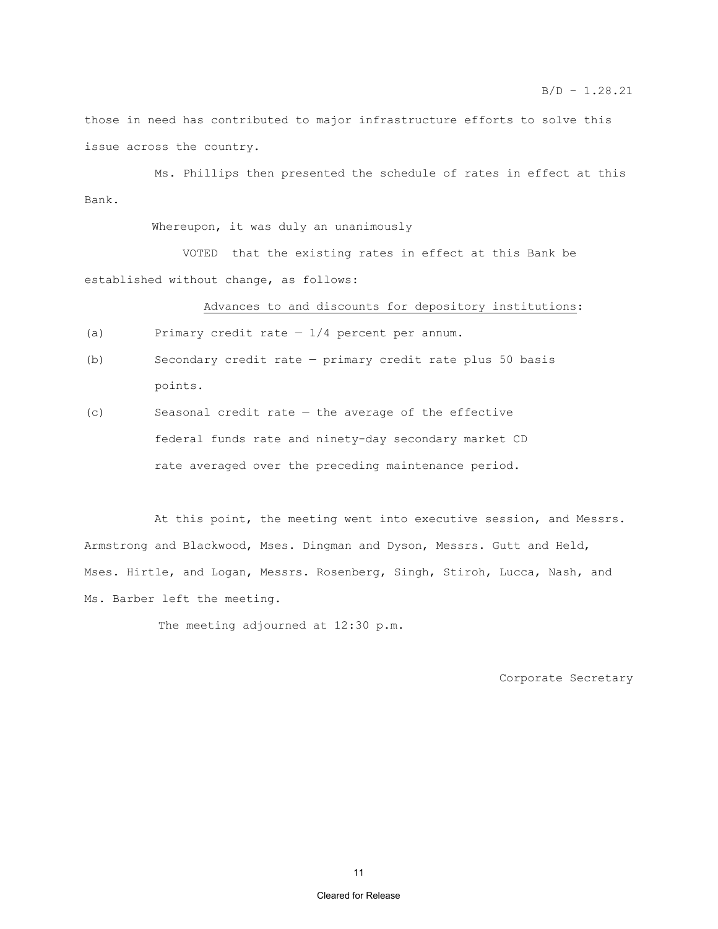those in need has contributed to major infrastructure efforts to solve this issue across the country.

Ms. Phillips then presented the schedule of rates in effect at this Bank.

Whereupon, it was duly an unanimously

 VOTED that the existing rates in effect at this Bank be established without change, as follows:

Advances to and discounts for depository institutions:

(a) Primary credit rate  $-1/4$  percent per annum.

- (b) Secondary credit rate primary credit rate plus 50 basis points.
- (c) Seasonal credit rate the average of the effective federal funds rate and ninety-day secondary market CD rate averaged over the preceding maintenance period.

At this point, the meeting went into executive session, and Messrs. Armstrong and Blackwood, Mses. Dingman and Dyson, Messrs. Gutt and Held, Mses. Hirtle, and Logan, Messrs. Rosenberg, Singh, Stiroh, Lucca, Nash, and Ms. Barber left the meeting.

The meeting adjourned at 12:30 p.m.

Corporate Secretary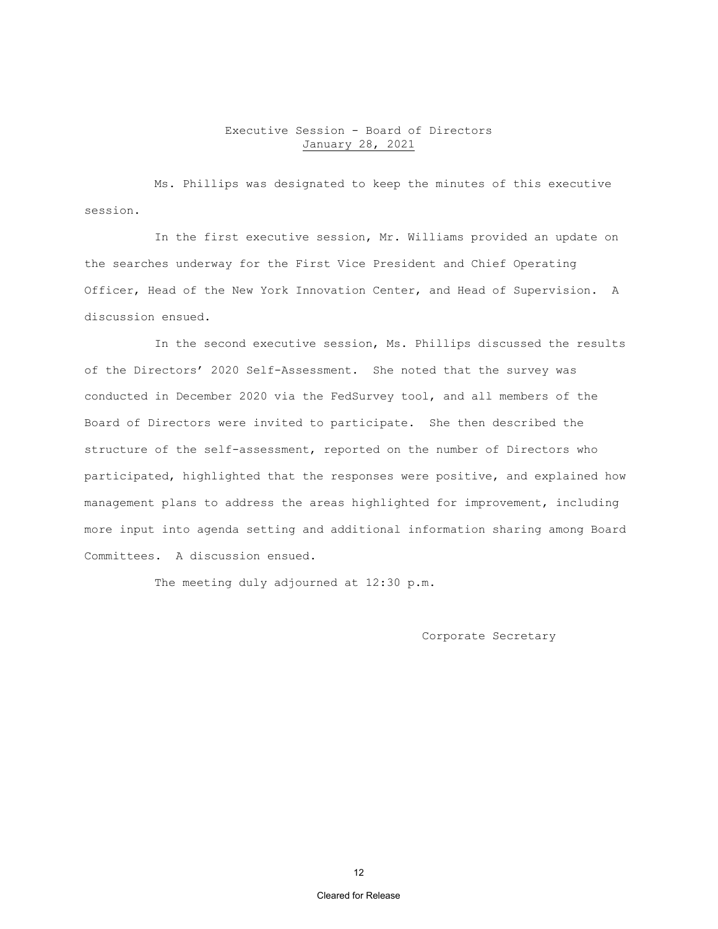# Executive Session - Board of Directors January 28, 2021

Ms. Phillips was designated to keep the minutes of this executive session.

In the first executive session, Mr. Williams provided an update on the searches underway for the First Vice President and Chief Operating Officer, Head of the New York Innovation Center, and Head of Supervision. A discussion ensued.

In the second executive session, Ms. Phillips discussed the results of the Directors' 2020 Self-Assessment. She noted that the survey was conducted in December 2020 via the FedSurvey tool, and all members of the Board of Directors were invited to participate. She then described the structure of the self-assessment, reported on the number of Directors who participated, highlighted that the responses were positive, and explained how management plans to address the areas highlighted for improvement, including more input into agenda setting and additional information sharing among Board Committees. A discussion ensued.

The meeting duly adjourned at 12:30 p.m.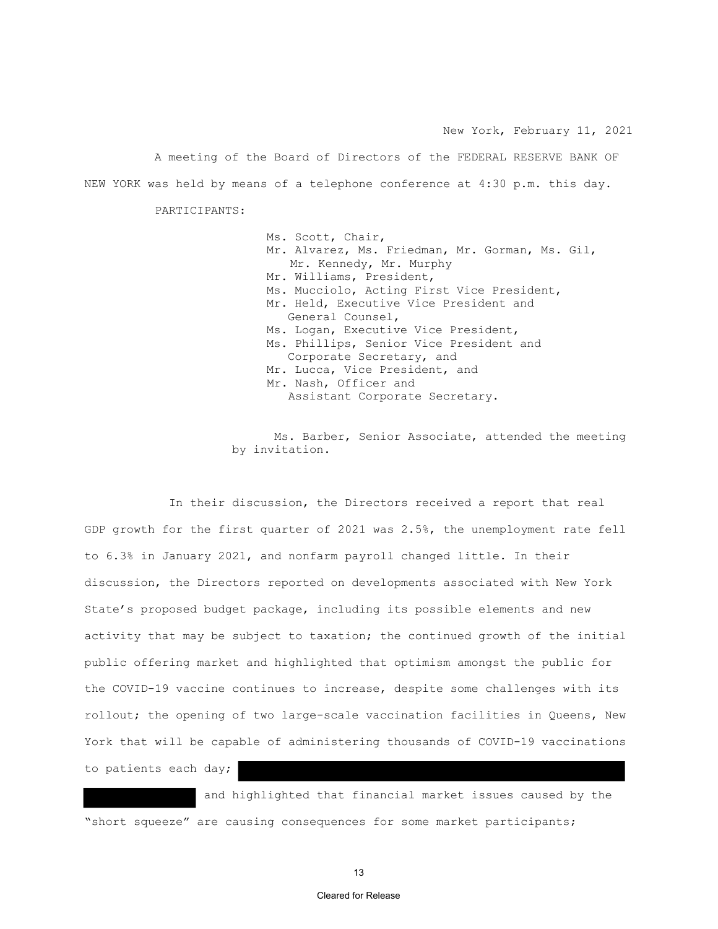New York, February 11, 2021

A meeting of the Board of Directors of the FEDERAL RESERVE BANK OF NEW YORK was held by means of a telephone conference at 4:30 p.m. this day.

PARTICIPANTS:

Ms. Scott, Chair, Mr. Alvarez, Ms. Friedman, Mr. Gorman, Ms. Gil, Mr. Kennedy, Mr. Murphy Mr. Williams, President, Ms. Mucciolo, Acting First Vice President, Mr. Held, Executive Vice President and General Counsel, Ms. Logan, Executive Vice President, Ms. Phillips, Senior Vice President and Corporate Secretary, and Mr. Lucca, Vice President, and Mr. Nash, Officer and Assistant Corporate Secretary.

Ms. Barber, Senior Associate, attended the meeting by invitation.

In their discussion, the Directors received a report that real GDP growth for the first quarter of 2021 was 2.5%, the unemployment rate fell to 6.3% in January 2021, and nonfarm payroll changed little. In their discussion, the Directors reported on developments associated with New York State's proposed budget package, including its possible elements and new activity that may be subject to taxation; the continued growth of the initial public offering market and highlighted that optimism amongst the public for the COVID-19 vaccine continues to increase, despite some challenges with its rollout; the opening of two large-scale vaccination facilities in Queens, New York that will be capable of administering thousands of COVID-19 vaccinations to patients each day;

 and highlighted that financial market issues caused by the "short squeeze" are causing consequences for some market participants;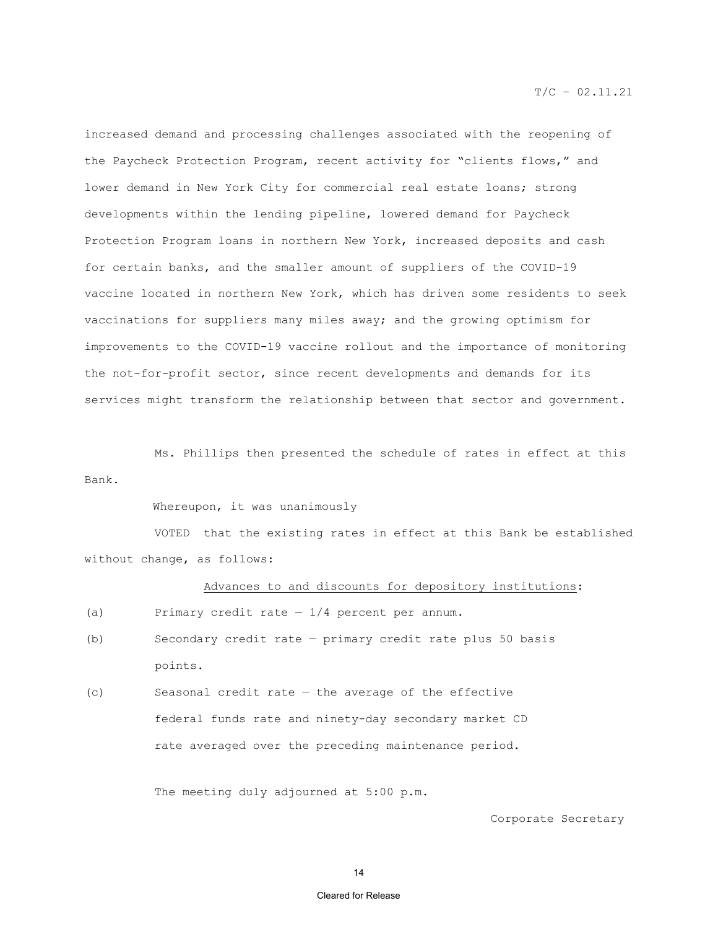increased demand and processing challenges associated with the reopening of the Paycheck Protection Program, recent activity for "clients flows," and lower demand in New York City for commercial real estate loans; strong developments within the lending pipeline, lowered demand for Paycheck Protection Program loans in northern New York, increased deposits and cash for certain banks, and the smaller amount of suppliers of the COVID-19 vaccine located in northern New York, which has driven some residents to seek vaccinations for suppliers many miles away; and the growing optimism for improvements to the COVID-19 vaccine rollout and the importance of monitoring the not-for-profit sector, since recent developments and demands for its services might transform the relationship between that sector and government.

 Ms. Phillips then presented the schedule of rates in effect at this Bank.

Whereupon, it was unanimously

VOTED that the existing rates in effect at this Bank be established without change, as follows:

# Advances to and discounts for depository institutions:

- (a) Primary credit rate  $-1/4$  percent per annum.
- (b) Secondary credit rate primary credit rate plus 50 basis points.
- (c) Seasonal credit rate the average of the effective federal funds rate and ninety-day secondary market CD rate averaged over the preceding maintenance period.

The meeting duly adjourned at 5:00 p.m.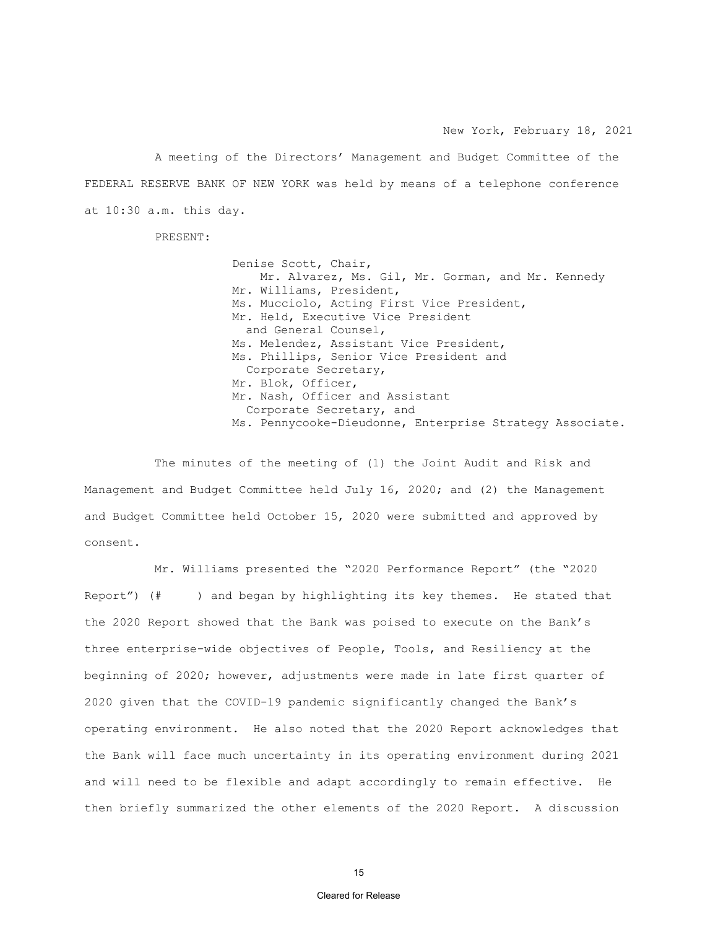New York, February 18, 2021

 A meeting of the Directors' Management and Budget Committee of the FEDERAL RESERVE BANK OF NEW YORK was held by means of a telephone conference at 10:30 a.m. this day.

PRESENT:

 Denise Scott, Chair, Mr. Alvarez, Ms. Gil, Mr. Gorman, and Mr. Kennedy Mr. Williams, President, Ms. Mucciolo, Acting First Vice President, Mr. Held, Executive Vice President and General Counsel, Ms. Melendez, Assistant Vice President, Ms. Phillips, Senior Vice President and Corporate Secretary, Mr. Blok, Officer, Mr. Nash, Officer and Assistant Corporate Secretary, and Ms. Pennycooke-Dieudonne, Enterprise Strategy Associate.

The minutes of the meeting of (1) the Joint Audit and Risk and Management and Budget Committee held July 16, 2020; and (2) the Management and Budget Committee held October 15, 2020 were submitted and approved by consent.

Mr. Williams presented the "2020 Performance Report" (the "2020 Report") (# ) and began by highlighting its key themes. He stated that the 2020 Report showed that the Bank was poised to execute on the Bank's three enterprise-wide objectives of People, Tools, and Resiliency at the beginning of 2020; however, adjustments were made in late first quarter of 2020 given that the COVID-19 pandemic significantly changed the Bank's operating environment. He also noted that the 2020 Report acknowledges that the Bank will face much uncertainty in its operating environment during 2021 and will need to be flexible and adapt accordingly to remain effective. He then briefly summarized the other elements of the 2020 Report. A discussion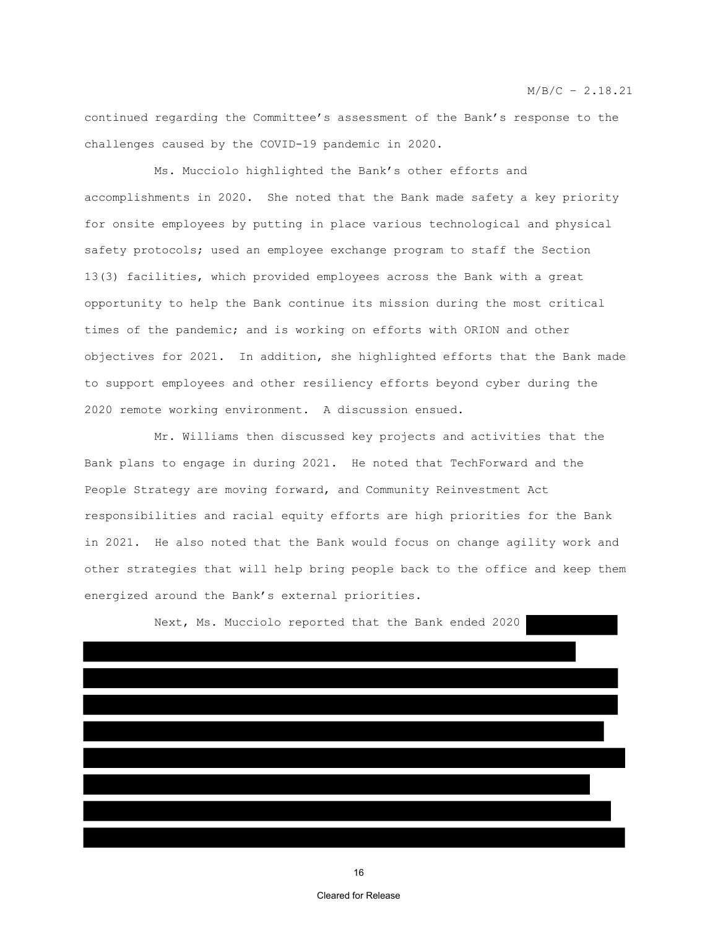continued regarding the Committee's assessment of the Bank's response to the challenges caused by the COVID-19 pandemic in 2020.

Ms. Mucciolo highlighted the Bank's other efforts and accomplishments in 2020. She noted that the Bank made safety a key priority for onsite employees by putting in place various technological and physical safety protocols; used an employee exchange program to staff the Section 13(3) facilities, which provided employees across the Bank with a great opportunity to help the Bank continue its mission during the most critical times of the pandemic; and is working on efforts with ORION and other objectives for 2021. In addition, she highlighted efforts that the Bank made to support employees and other resiliency efforts beyond cyber during the 2020 remote working environment. A discussion ensued.

Mr. Williams then discussed key projects and activities that the Bank plans to engage in during 2021. He noted that TechForward and the People Strategy are moving forward, and Community Reinvestment Act responsibilities and racial equity efforts are high priorities for the Bank in 2021. He also noted that the Bank would focus on change agility work and other strategies that will help bring people back to the office and keep them energized around the Bank's external priorities.

Next, Ms. Mucciolo reported that the Bank ended 2020

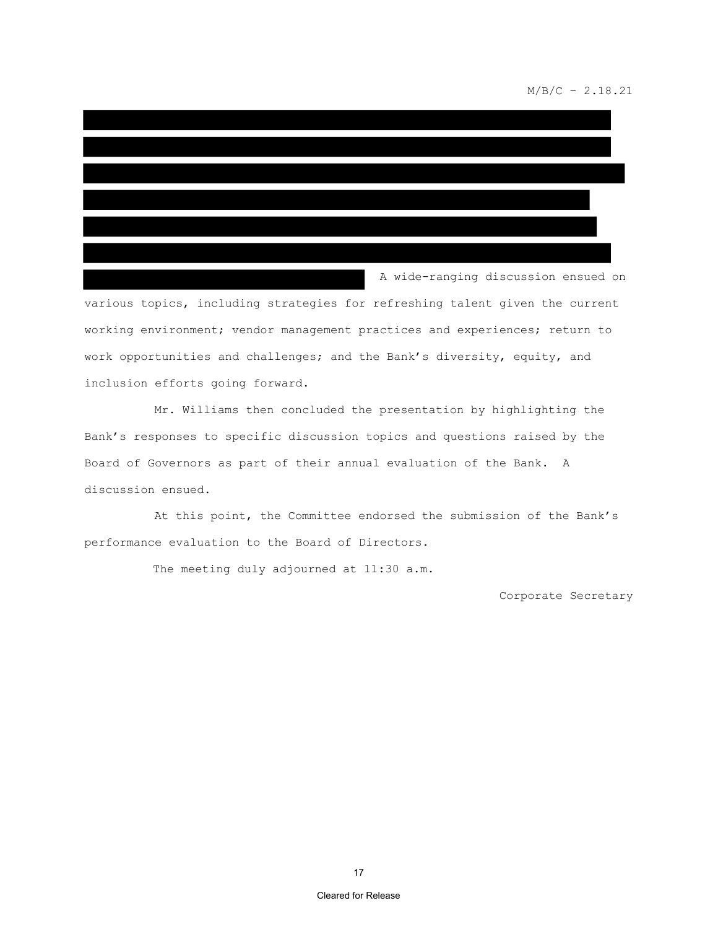### $M/B/C - 2.18.21$

A wide-ranging discussion ensued on

various topics, including strategies for refreshing talent given the current working environment; vendor management practices and experiences; return to work opportunities and challenges; and the Bank's diversity, equity, and inclusion efforts going forward.

Mr. Williams then concluded the presentation by highlighting the Bank's responses to specific discussion topics and questions raised by the Board of Governors as part of their annual evaluation of the Bank. A discussion ensued.

At this point, the Committee endorsed the submission of the Bank's performance evaluation to the Board of Directors.

The meeting duly adjourned at 11:30 a.m.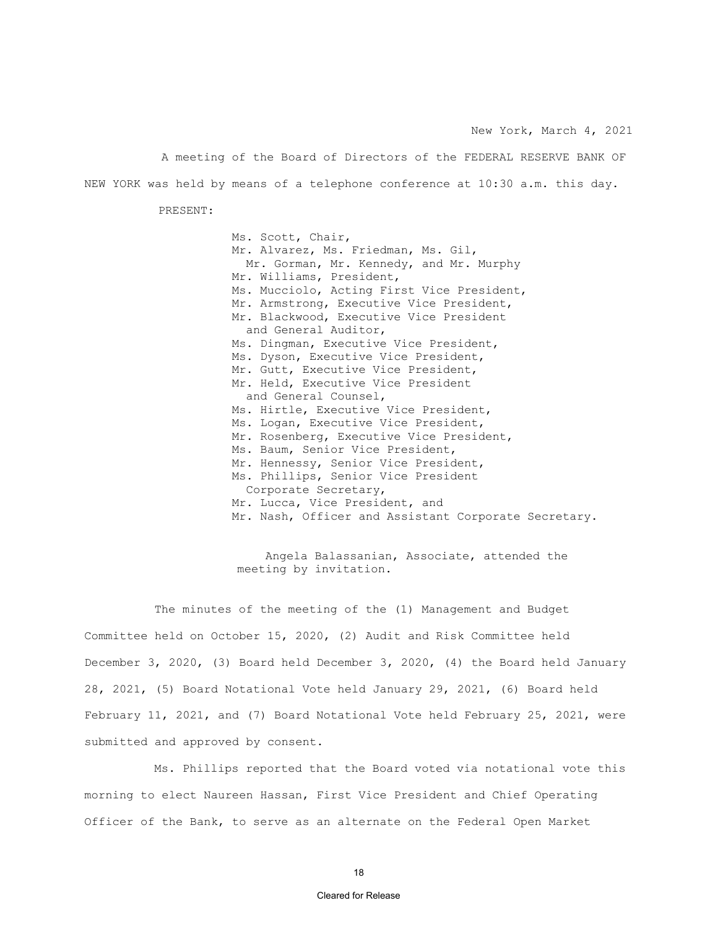New York, March 4, 2021

A meeting of the Board of Directors of the FEDERAL RESERVE BANK OF NEW YORK was held by means of a telephone conference at 10:30 a.m. this day.

PRESENT:

Ms. Scott, Chair, Mr. Alvarez, Ms. Friedman, Ms. Gil, Mr. Gorman, Mr. Kennedy, and Mr. Murphy Mr. Williams, President, Ms. Mucciolo, Acting First Vice President, Mr. Armstrong, Executive Vice President, Mr. Blackwood, Executive Vice President and General Auditor, Ms. Dingman, Executive Vice President, Ms. Dyson, Executive Vice President, Mr. Gutt, Executive Vice President, Mr. Held, Executive Vice President and General Counsel, Ms. Hirtle, Executive Vice President, Ms. Logan, Executive Vice President, Mr. Rosenberg, Executive Vice President, Ms. Baum, Senior Vice President, Mr. Hennessy, Senior Vice President, Ms. Phillips, Senior Vice President Corporate Secretary, Mr. Lucca, Vice President, and Mr. Nash, Officer and Assistant Corporate Secretary.

 Angela Balassanian, Associate, attended the meeting by invitation.

The minutes of the meeting of the (1) Management and Budget Committee held on October 15, 2020, (2) Audit and Risk Committee held December 3, 2020, (3) Board held December 3, 2020, (4) the Board held January 28, 2021, (5) Board Notational Vote held January 29, 2021, (6) Board held February 11, 2021, and (7) Board Notational Vote held February 25, 2021, were submitted and approved by consent.

Ms. Phillips reported that the Board voted via notational vote this morning to elect Naureen Hassan, First Vice President and Chief Operating Officer of the Bank, to serve as an alternate on the Federal Open Market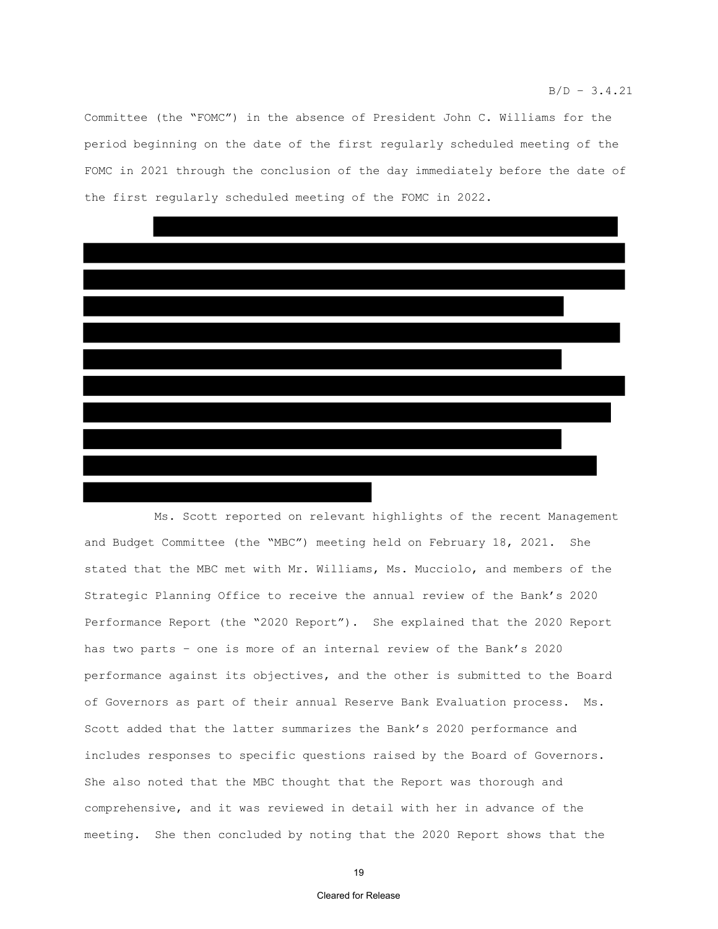Committee (the "FOMC") in the absence of President John C. Williams for the period beginning on the date of the first regularly scheduled meeting of the FOMC in 2021 through the conclusion of the day immediately before the date of the first regularly scheduled meeting of the FOMC in 2022.



Ms. Scott reported on relevant highlights of the recent Management and Budget Committee (the "MBC") meeting held on February 18, 2021. She stated that the MBC met with Mr. Williams, Ms. Mucciolo, and members of the Strategic Planning Office to receive the annual review of the Bank's 2020 Performance Report (the "2020 Report"). She explained that the 2020 Report has two parts – one is more of an internal review of the Bank's 2020 performance against its objectives, and the other is submitted to the Board of Governors as part of their annual Reserve Bank Evaluation process. Ms. Scott added that the latter summarizes the Bank's 2020 performance and includes responses to specific questions raised by the Board of Governors. She also noted that the MBC thought that the Report was thorough and comprehensive, and it was reviewed in detail with her in advance of the meeting. She then concluded by noting that the 2020 Report shows that the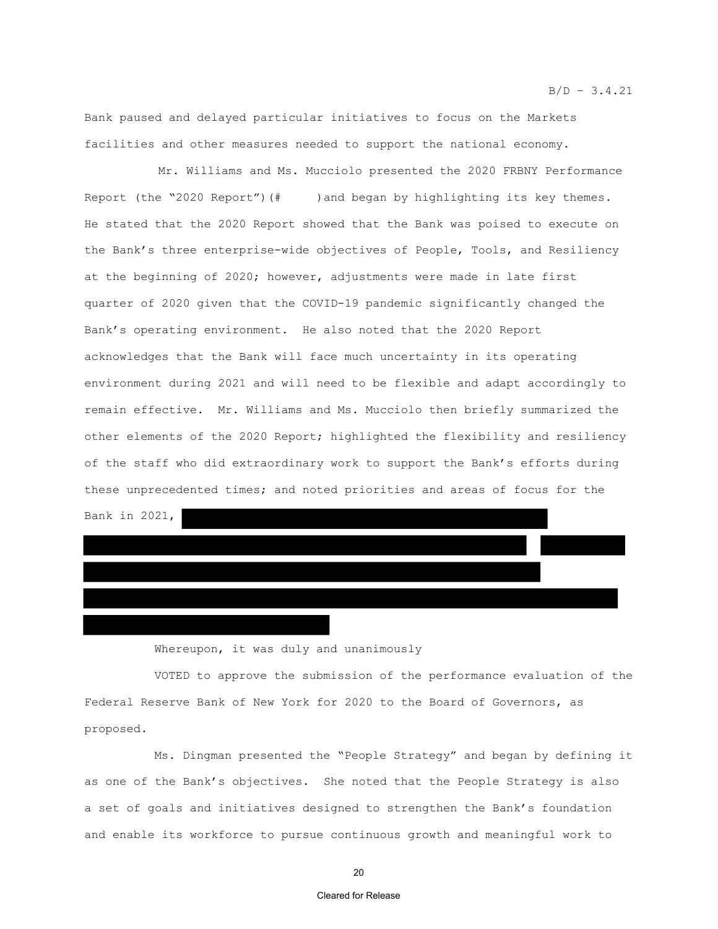Bank paused and delayed particular initiatives to focus on the Markets facilities and other measures needed to support the national economy.

Mr. Williams and Ms. Mucciolo presented the 2020 FRBNY Performance Report (the "2020 Report")(# )and began by highlighting its key themes. He stated that the 2020 Report showed that the Bank was poised to execute on the Bank's three enterprise-wide objectives of People, Tools, and Resiliency at the beginning of 2020; however, adjustments were made in late first quarter of 2020 given that the COVID-19 pandemic significantly changed the Bank's operating environment. He also noted that the 2020 Report acknowledges that the Bank will face much uncertainty in its operating environment during 2021 and will need to be flexible and adapt accordingly to remain effective. Mr. Williams and Ms. Mucciolo then briefly summarized the other elements of the 2020 Report; highlighted the flexibility and resiliency of the staff who did extraordinary work to support the Bank's efforts during these unprecedented times; and noted priorities and areas of focus for the Bank in 2021,

Whereupon, it was duly and unanimously

VOTED to approve the submission of the performance evaluation of the Federal Reserve Bank of New York for 2020 to the Board of Governors, as proposed.

Ms. Dingman presented the "People Strategy" and began by defining it as one of the Bank's objectives. She noted that the People Strategy is also a set of goals and initiatives designed to strengthen the Bank's foundation and enable its workforce to pursue continuous growth and meaningful work to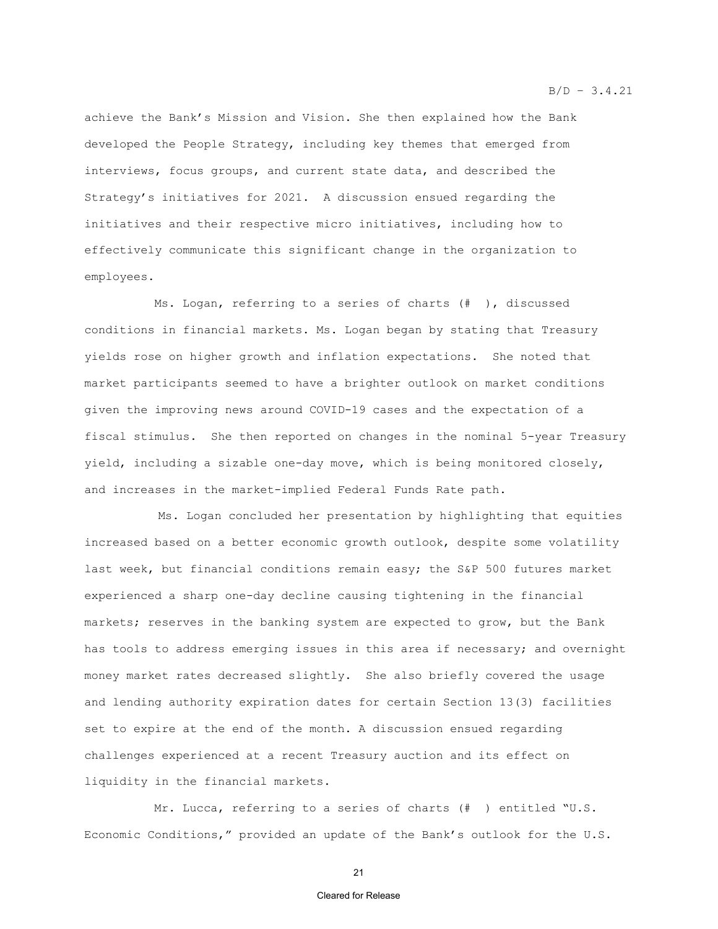achieve the Bank's Mission and Vision. She then explained how the Bank developed the People Strategy, including key themes that emerged from interviews, focus groups, and current state data, and described the Strategy's initiatives for 2021. A discussion ensued regarding the initiatives and their respective micro initiatives, including how to effectively communicate this significant change in the organization to employees.

Ms. Logan, referring to a series of charts (# ), discussed conditions in financial markets. Ms. Logan began by stating that Treasury yields rose on higher growth and inflation expectations. She noted that market participants seemed to have a brighter outlook on market conditions given the improving news around COVID-19 cases and the expectation of a fiscal stimulus. She then reported on changes in the nominal 5-year Treasury yield, including a sizable one-day move, which is being monitored closely, and increases in the market-implied Federal Funds Rate path.

Ms. Logan concluded her presentation by highlighting that equities increased based on a better economic growth outlook, despite some volatility last week, but financial conditions remain easy; the S&P 500 futures market experienced a sharp one-day decline causing tightening in the financial markets; reserves in the banking system are expected to grow, but the Bank has tools to address emerging issues in this area if necessary; and overnight money market rates decreased slightly. She also briefly covered the usage and lending authority expiration dates for certain Section 13(3) facilities set to expire at the end of the month. A discussion ensued regarding challenges experienced at a recent Treasury auction and its effect on liquidity in the financial markets.

Mr. Lucca, referring to a series of charts (# ) entitled "U.S. Economic Conditions," provided an update of the Bank's outlook for the U.S.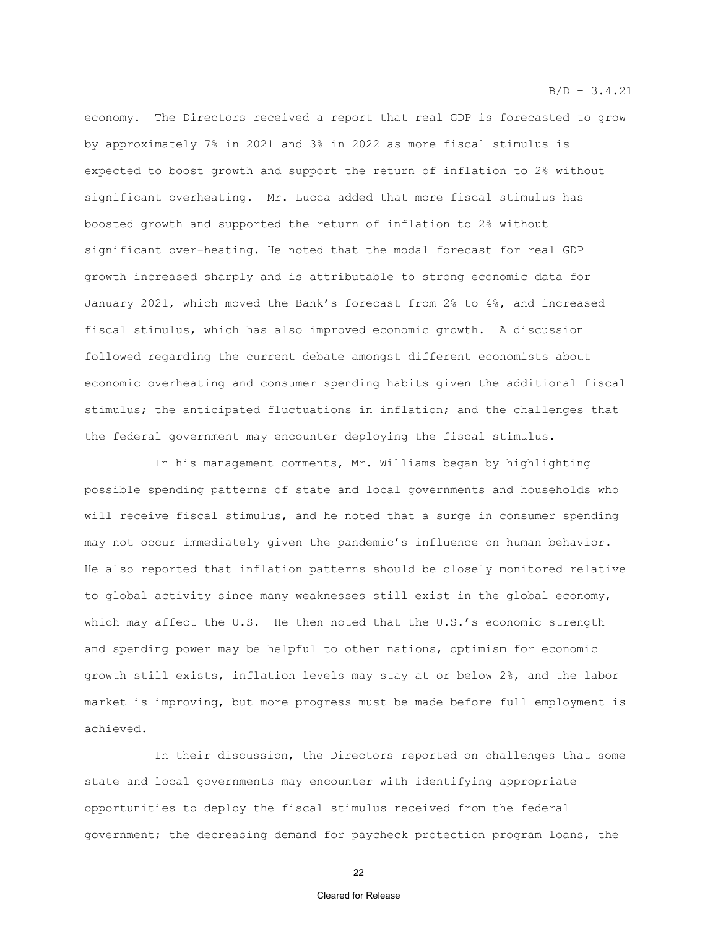#### $B/D - 3.4.21$

economy. The Directors received a report that real GDP is forecasted to grow by approximately 7% in 2021 and 3% in 2022 as more fiscal stimulus is expected to boost growth and support the return of inflation to 2% without significant overheating. Mr. Lucca added that more fiscal stimulus has boosted growth and supported the return of inflation to 2% without significant over-heating. He noted that the modal forecast for real GDP growth increased sharply and is attributable to strong economic data for January 2021, which moved the Bank's forecast from 2% to 4%, and increased fiscal stimulus, which has also improved economic growth. A discussion followed regarding the current debate amongst different economists about economic overheating and consumer spending habits given the additional fiscal stimulus; the anticipated fluctuations in inflation; and the challenges that the federal government may encounter deploying the fiscal stimulus.

In his management comments, Mr. Williams began by highlighting possible spending patterns of state and local governments and households who will receive fiscal stimulus, and he noted that a surge in consumer spending may not occur immediately given the pandemic's influence on human behavior. He also reported that inflation patterns should be closely monitored relative to global activity since many weaknesses still exist in the global economy, which may affect the U.S. He then noted that the U.S.'s economic strength and spending power may be helpful to other nations, optimism for economic growth still exists, inflation levels may stay at or below 2%, and the labor market is improving, but more progress must be made before full employment is achieved.

In their discussion, the Directors reported on challenges that some state and local governments may encounter with identifying appropriate opportunities to deploy the fiscal stimulus received from the federal government; the decreasing demand for paycheck protection program loans, the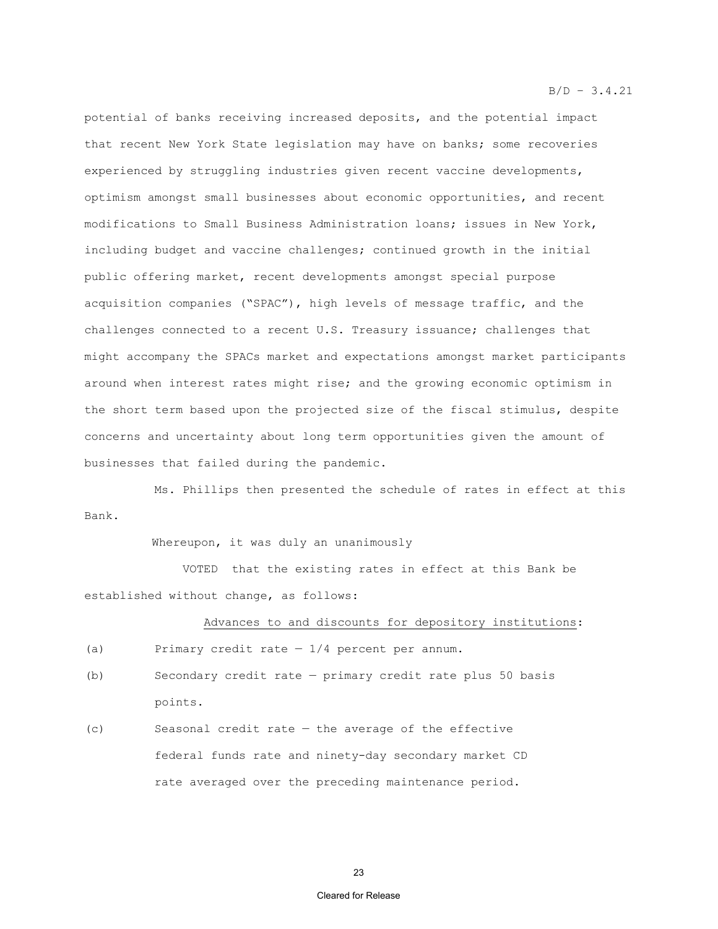potential of banks receiving increased deposits, and the potential impact that recent New York State legislation may have on banks; some recoveries experienced by struggling industries given recent vaccine developments, optimism amongst small businesses about economic opportunities, and recent modifications to Small Business Administration loans; issues in New York, including budget and vaccine challenges; continued growth in the initial public offering market, recent developments amongst special purpose acquisition companies ("SPAC"), high levels of message traffic, and the challenges connected to a recent U.S. Treasury issuance; challenges that might accompany the SPACs market and expectations amongst market participants around when interest rates might rise; and the growing economic optimism in the short term based upon the projected size of the fiscal stimulus, despite concerns and uncertainty about long term opportunities given the amount of businesses that failed during the pandemic.

Ms. Phillips then presented the schedule of rates in effect at this Bank.

Whereupon, it was duly an unanimously

 VOTED that the existing rates in effect at this Bank be established without change, as follows:

#### Advances to and discounts for depository institutions:

(a) Primary credit rate  $-1/4$  percent per annum.

- (b) Secondary credit rate primary credit rate plus 50 basis points.
- (c) Seasonal credit rate the average of the effective federal funds rate and ninety-day secondary market CD rate averaged over the preceding maintenance period.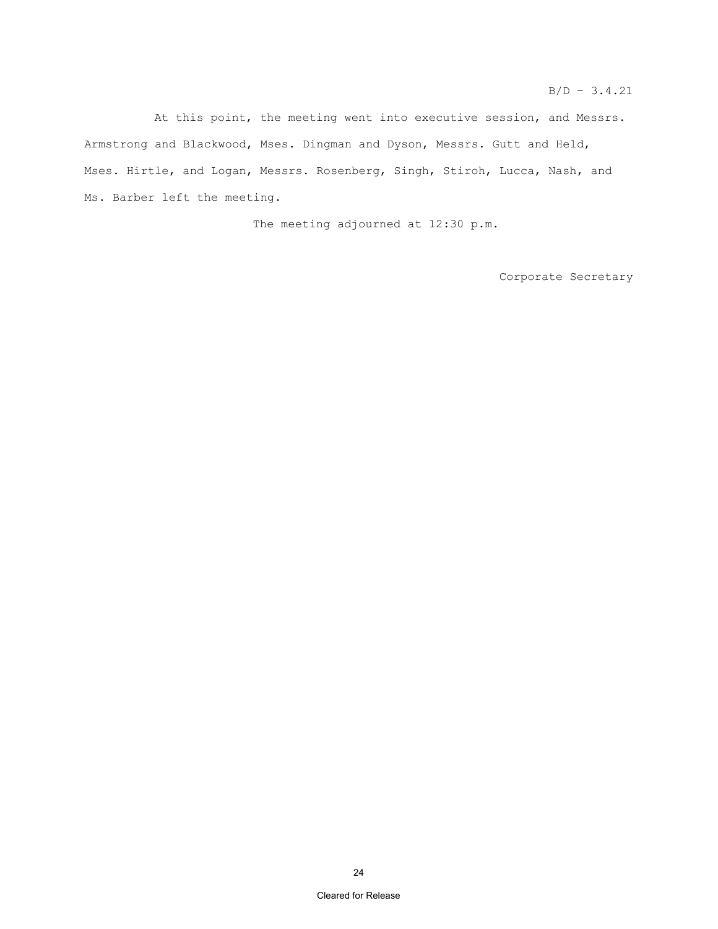At this point, the meeting went into executive session, and Messrs. Armstrong and Blackwood, Mses. Dingman and Dyson, Messrs. Gutt and Held, Mses. Hirtle, and Logan, Messrs. Rosenberg, Singh, Stiroh, Lucca, Nash, and Ms. Barber left the meeting.

The meeting adjourned at 12:30 p.m.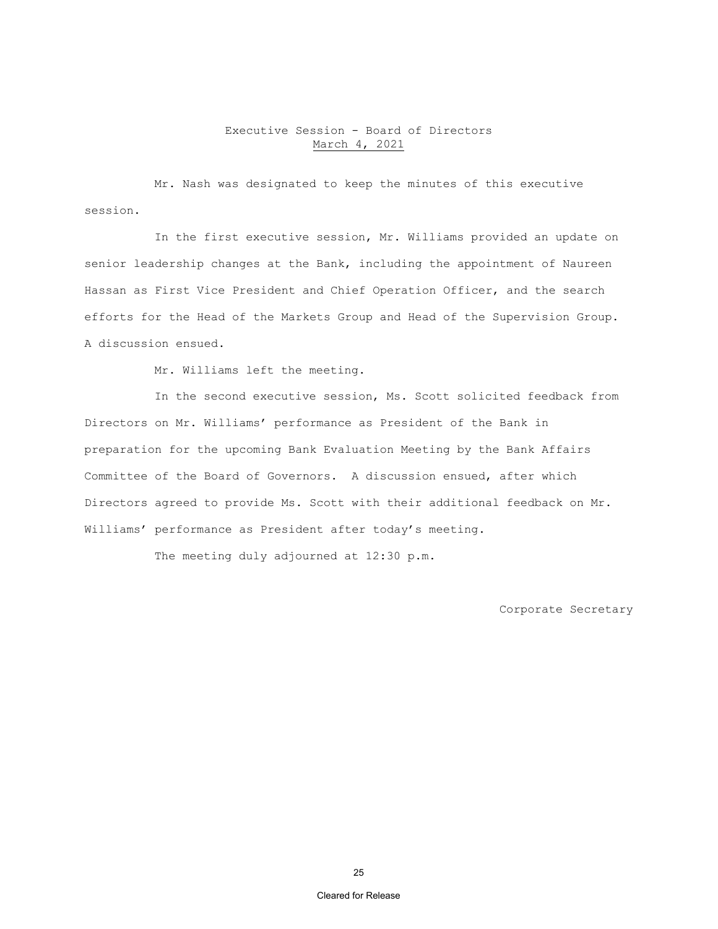# Executive Session - Board of Directors March 4, 2021

Mr. Nash was designated to keep the minutes of this executive session.

In the first executive session, Mr. Williams provided an update on senior leadership changes at the Bank, including the appointment of Naureen Hassan as First Vice President and Chief Operation Officer, and the search efforts for the Head of the Markets Group and Head of the Supervision Group. A discussion ensued.

Mr. Williams left the meeting.

In the second executive session, Ms. Scott solicited feedback from Directors on Mr. Williams' performance as President of the Bank in preparation for the upcoming Bank Evaluation Meeting by the Bank Affairs Committee of the Board of Governors. A discussion ensued, after which Directors agreed to provide Ms. Scott with their additional feedback on Mr. Williams' performance as President after today's meeting.

The meeting duly adjourned at 12:30 p.m.

Corporate Secretary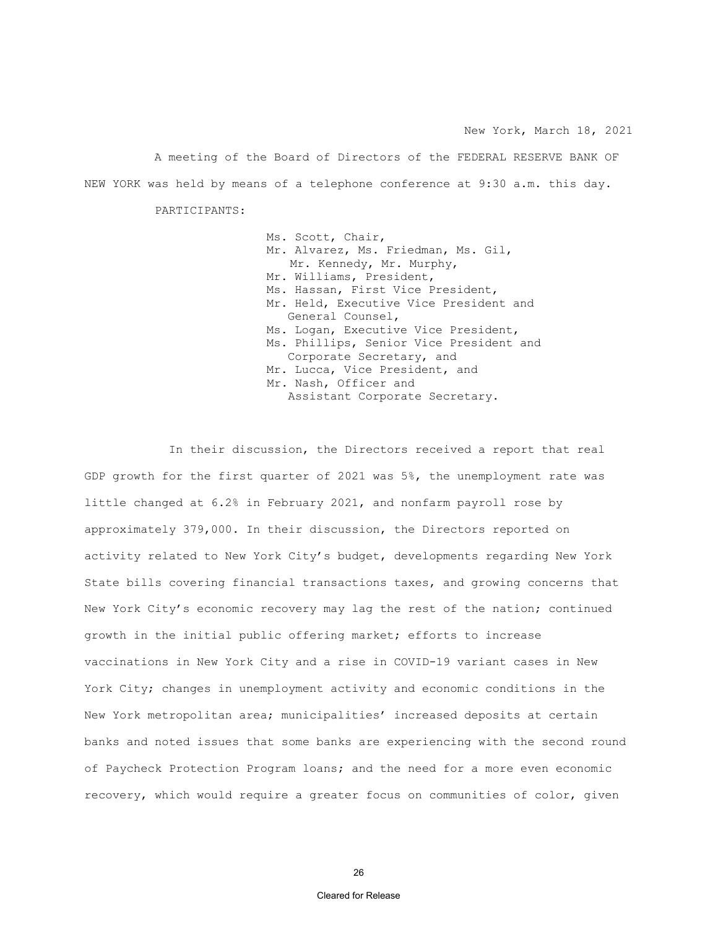A meeting of the Board of Directors of the FEDERAL RESERVE BANK OF NEW YORK was held by means of a telephone conference at 9:30 a.m. this day.

PARTICIPANTS:

Ms. Scott, Chair, Mr. Alvarez, Ms. Friedman, Ms. Gil, Mr. Kennedy, Mr. Murphy, Mr. Williams, President, Ms. Hassan, First Vice President, Mr. Held, Executive Vice President and General Counsel, Ms. Logan, Executive Vice President, Ms. Phillips, Senior Vice President and Corporate Secretary, and Mr. Lucca, Vice President, and Mr. Nash, Officer and Assistant Corporate Secretary.

In their discussion, the Directors received a report that real GDP growth for the first quarter of 2021 was 5%, the unemployment rate was little changed at 6.2% in February 2021, and nonfarm payroll rose by approximately 379,000. In their discussion, the Directors reported on activity related to New York City's budget, developments regarding New York State bills covering financial transactions taxes, and growing concerns that New York City's economic recovery may lag the rest of the nation; continued growth in the initial public offering market; efforts to increase vaccinations in New York City and a rise in COVID-19 variant cases in New York City; changes in unemployment activity and economic conditions in the New York metropolitan area; municipalities' increased deposits at certain banks and noted issues that some banks are experiencing with the second round of Paycheck Protection Program loans; and the need for a more even economic recovery, which would require a greater focus on communities of color, given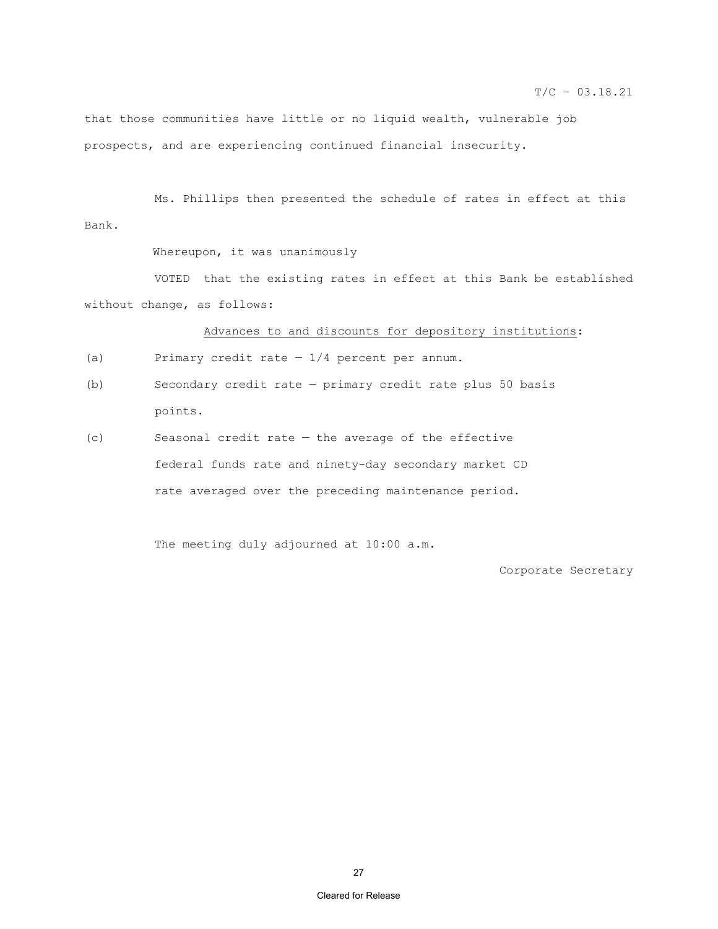$T/C - 03.18.21$ 

that those communities have little or no liquid wealth, vulnerable job prospects, and are experiencing continued financial insecurity.

 Ms. Phillips then presented the schedule of rates in effect at this Bank.

Whereupon, it was unanimously

VOTED that the existing rates in effect at this Bank be established without change, as follows:

Advances to and discounts for depository institutions:

- (a) Primary credit rate  $-1/4$  percent per annum.
- (b) Secondary credit rate primary credit rate plus 50 basis points.
- (c) Seasonal credit rate the average of the effective federal funds rate and ninety-day secondary market CD rate averaged over the preceding maintenance period.

The meeting duly adjourned at 10:00 a.m.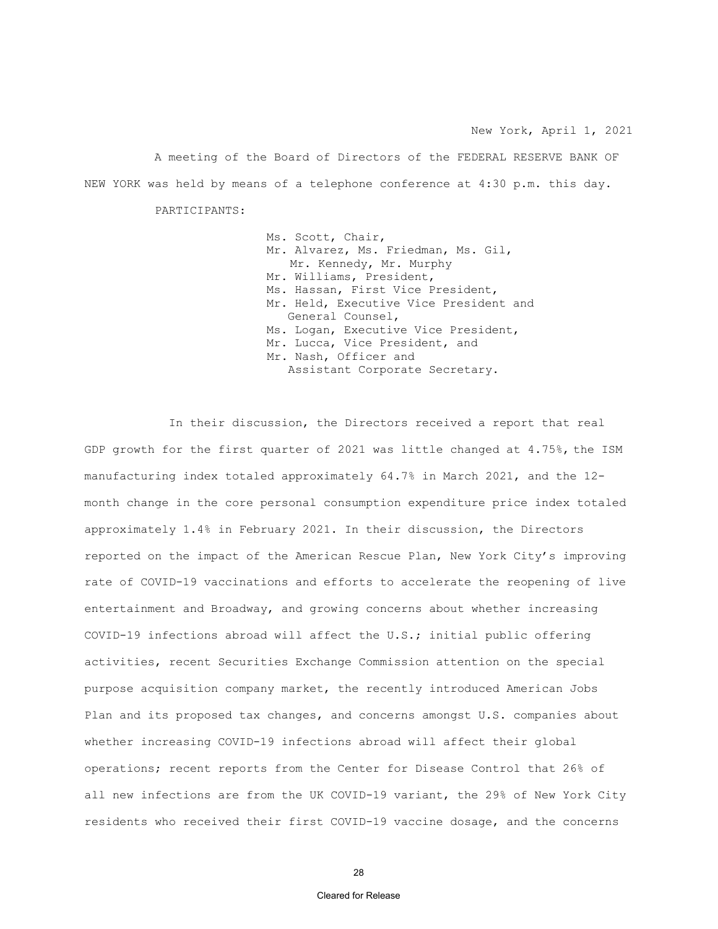A meeting of the Board of Directors of the FEDERAL RESERVE BANK OF NEW YORK was held by means of a telephone conference at 4:30 p.m. this day.

PARTICIPANTS:

Ms. Scott, Chair, Mr. Alvarez, Ms. Friedman, Ms. Gil, Mr. Kennedy, Mr. Murphy Mr. Williams, President, Ms. Hassan, First Vice President, Mr. Held, Executive Vice President and General Counsel, Ms. Logan, Executive Vice President, Mr. Lucca, Vice President, and Mr. Nash, Officer and Assistant Corporate Secretary.

In their discussion, the Directors received a report that real GDP growth for the first quarter of 2021 was little changed at 4.75%, the ISM manufacturing index totaled approximately 64.7% in March 2021, and the 12 month change in the core personal consumption expenditure price index totaled approximately 1.4% in February 2021. In their discussion, the Directors reported on the impact of the American Rescue Plan, New York City's improving rate of COVID-19 vaccinations and efforts to accelerate the reopening of live entertainment and Broadway, and growing concerns about whether increasing COVID-19 infections abroad will affect the U.S.; initial public offering activities, recent Securities Exchange Commission attention on the special purpose acquisition company market, the recently introduced American Jobs Plan and its proposed tax changes, and concerns amongst U.S. companies about whether increasing COVID-19 infections abroad will affect their global operations; recent reports from the Center for Disease Control that 26% of all new infections are from the UK COVID-19 variant, the 29% of New York City residents who received their first COVID-19 vaccine dosage, and the concerns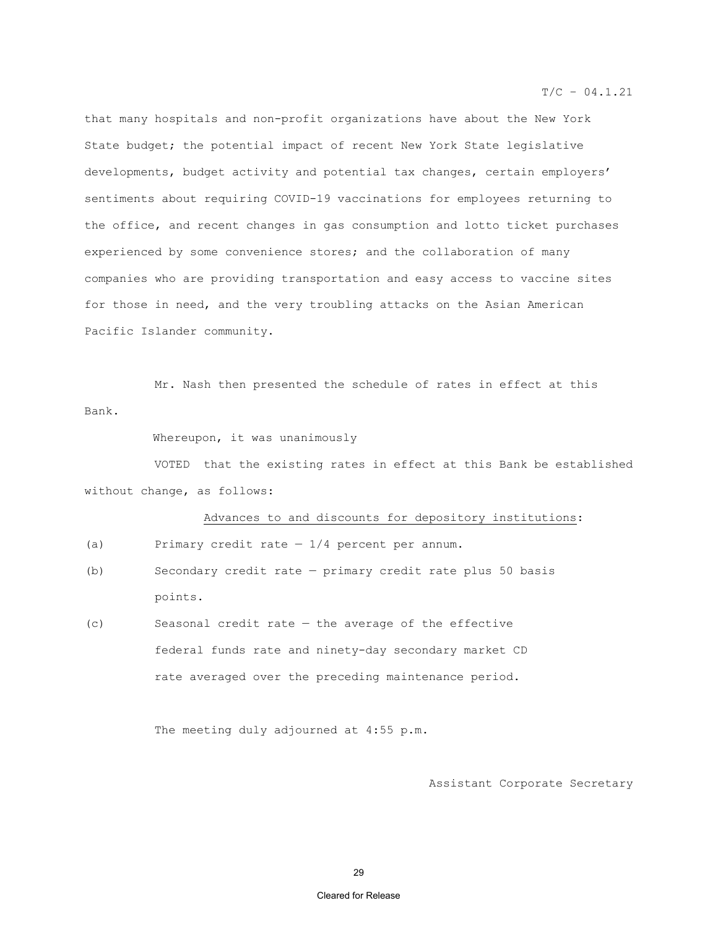that many hospitals and non-profit organizations have about the New York State budget; the potential impact of recent New York State legislative developments, budget activity and potential tax changes, certain employers' sentiments about requiring COVID-19 vaccinations for employees returning to the office, and recent changes in gas consumption and lotto ticket purchases experienced by some convenience stores; and the collaboration of many companies who are providing transportation and easy access to vaccine sites for those in need, and the very troubling attacks on the Asian American Pacific Islander community.

 Mr. Nash then presented the schedule of rates in effect at this Bank.

Whereupon, it was unanimously

VOTED that the existing rates in effect at this Bank be established without change, as follows:

#### Advances to and discounts for depository institutions:

- (a) Primary credit rate  $-1/4$  percent per annum.
- (b) Secondary credit rate primary credit rate plus 50 basis points.
- (c) Seasonal credit rate the average of the effective federal funds rate and ninety-day secondary market CD rate averaged over the preceding maintenance period.

The meeting duly adjourned at 4:55 p.m.

Assistant Corporate Secretary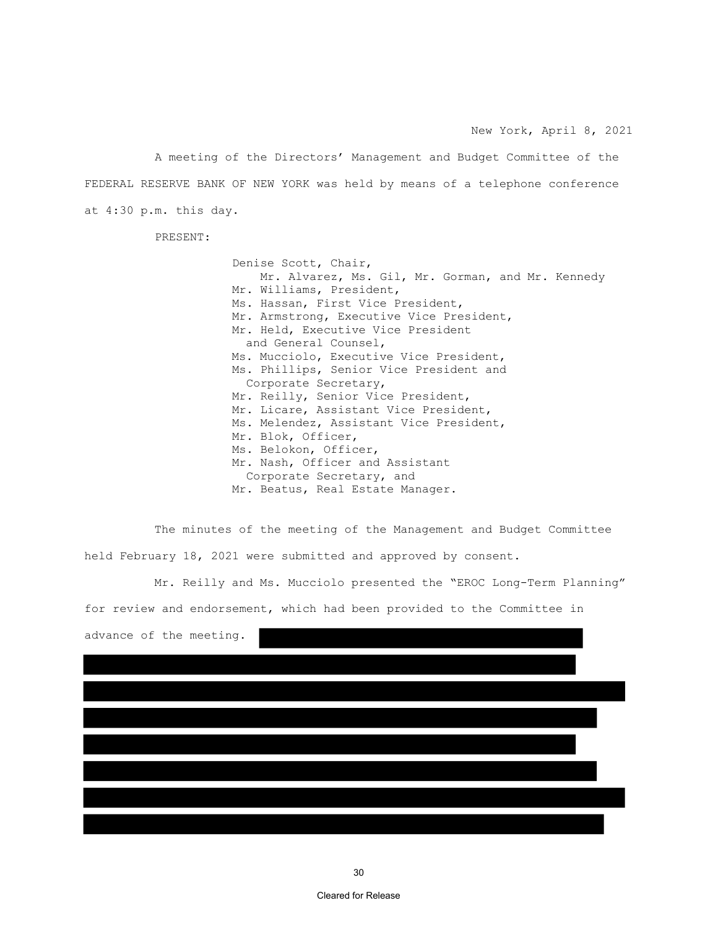A meeting of the Directors' Management and Budget Committee of the FEDERAL RESERVE BANK OF NEW YORK was held by means of a telephone conference at 4:30 p.m. this day.

PRESENT:

 Denise Scott, Chair, Mr. Alvarez, Ms. Gil, Mr. Gorman, and Mr. Kennedy Mr. Williams, President, Ms. Hassan, First Vice President, Mr. Armstrong, Executive Vice President, Mr. Held, Executive Vice President and General Counsel, Ms. Mucciolo, Executive Vice President, Ms. Phillips, Senior Vice President and Corporate Secretary, Mr. Reilly, Senior Vice President, Mr. Licare, Assistant Vice President, Ms. Melendez, Assistant Vice President, Mr. Blok, Officer, Ms. Belokon, Officer, Mr. Nash, Officer and Assistant Corporate Secretary, and Mr. Beatus, Real Estate Manager.

The minutes of the meeting of the Management and Budget Committee held February 18, 2021 were submitted and approved by consent.

Mr. Reilly and Ms. Mucciolo presented the "EROC Long-Term Planning" for review and endorsement, which had been provided to the Committee in

|  | advance of the meeting. |  |
|--|-------------------------|--|
|  |                         |  |
|  |                         |  |
|  |                         |  |
|  |                         |  |
|  |                         |  |
|  |                         |  |
|  |                         |  |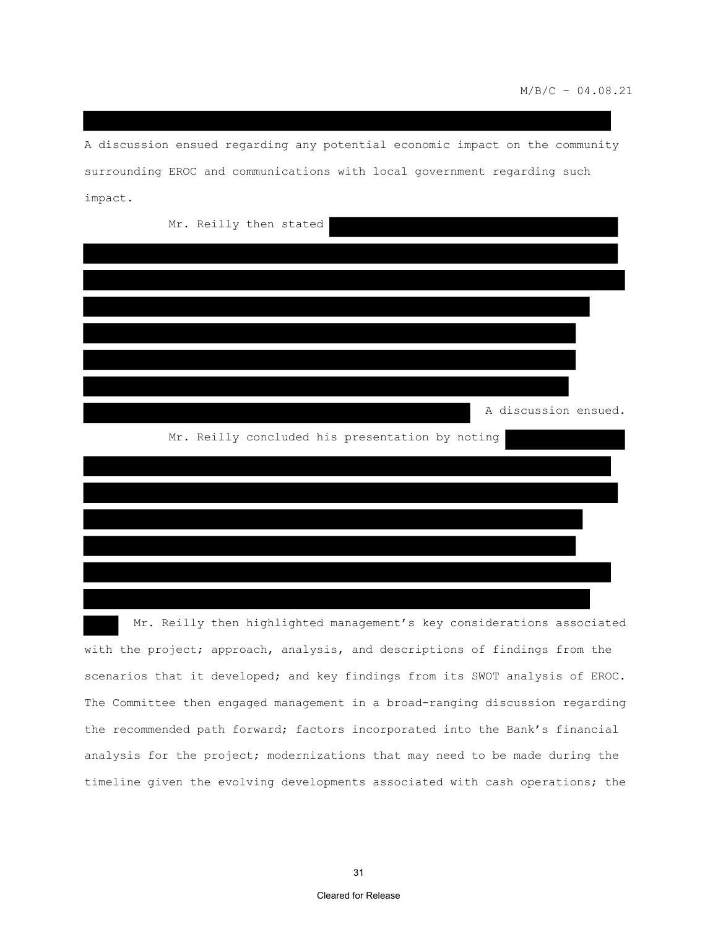A discussion ensued regarding any potential economic impact on the community surrounding EROC and communications with local government regarding such impact.

| Mr. Reilly then stated |  |                                                 |  |                      |  |
|------------------------|--|-------------------------------------------------|--|----------------------|--|
|                        |  |                                                 |  |                      |  |
|                        |  |                                                 |  |                      |  |
|                        |  |                                                 |  |                      |  |
|                        |  |                                                 |  |                      |  |
|                        |  |                                                 |  |                      |  |
|                        |  |                                                 |  |                      |  |
|                        |  |                                                 |  | A discussion ensued. |  |
|                        |  | Mr. Reilly concluded his presentation by noting |  |                      |  |
|                        |  |                                                 |  |                      |  |
|                        |  |                                                 |  |                      |  |
|                        |  |                                                 |  |                      |  |

 Mr. Reilly then highlighted management's key considerations associated with the project; approach, analysis, and descriptions of findings from the scenarios that it developed; and key findings from its SWOT analysis of EROC. The Committee then engaged management in a broad-ranging discussion regarding the recommended path forward; factors incorporated into the Bank's financial analysis for the project; modernizations that may need to be made during the timeline given the evolving developments associated with cash operations; the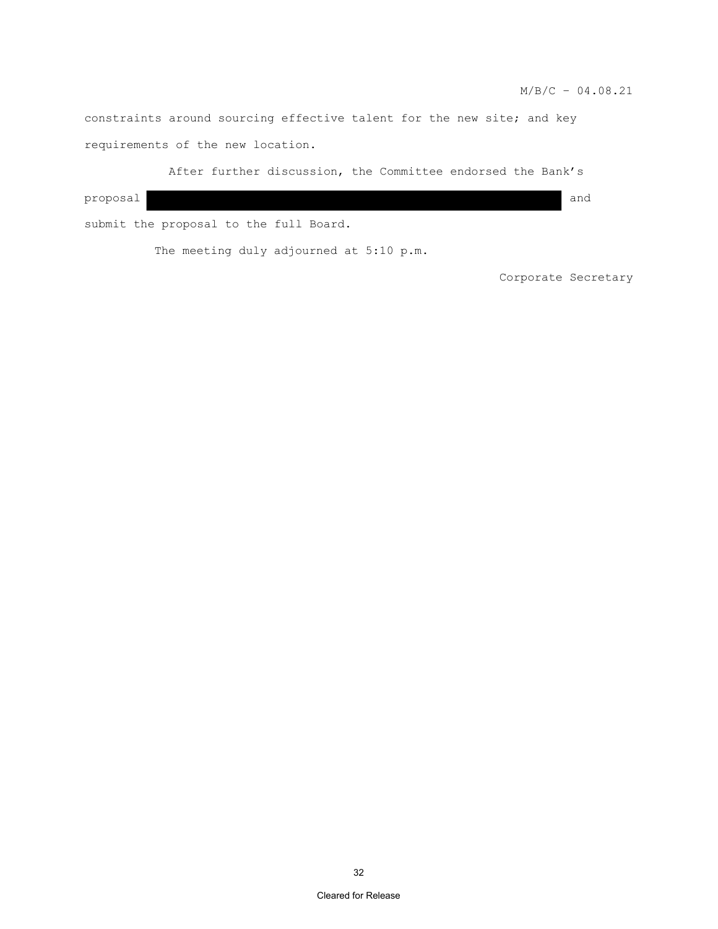constraints around sourcing effective talent for the new site; and key requirements of the new location.

After further discussion, the Committee endorsed the Bank's proposal and submit the proposal to the full Board.

The meeting duly adjourned at 5:10 p.m.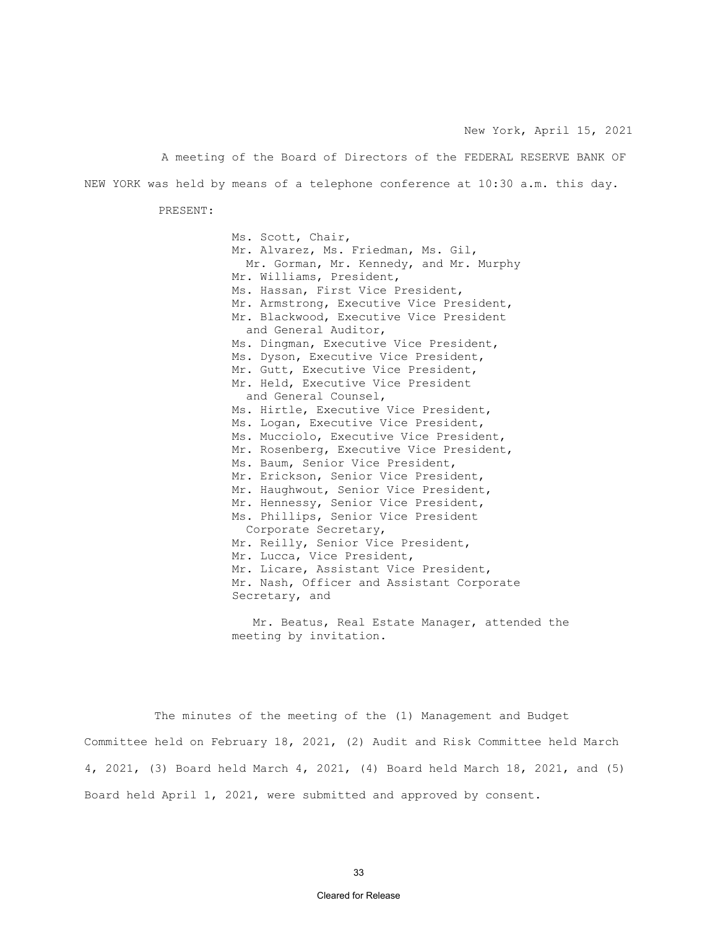New York, April 15, 2021

A meeting of the Board of Directors of the FEDERAL RESERVE BANK OF NEW YORK was held by means of a telephone conference at 10:30 a.m. this day.

PRESENT:

Ms. Scott, Chair, Mr. Alvarez, Ms. Friedman, Ms. Gil, Mr. Gorman, Mr. Kennedy, and Mr. Murphy Mr. Williams, President, Ms. Hassan, First Vice President, Mr. Armstrong, Executive Vice President, Mr. Blackwood, Executive Vice President and General Auditor, Ms. Dingman, Executive Vice President, Ms. Dyson, Executive Vice President, Mr. Gutt, Executive Vice President, Mr. Held, Executive Vice President and General Counsel, Ms. Hirtle, Executive Vice President, Ms. Logan, Executive Vice President, Ms. Mucciolo, Executive Vice President, Mr. Rosenberg, Executive Vice President, Ms. Baum, Senior Vice President, Mr. Erickson, Senior Vice President, Mr. Haughwout, Senior Vice President, Mr. Hennessy, Senior Vice President, Ms. Phillips, Senior Vice President Corporate Secretary, Mr. Reilly, Senior Vice President, Mr. Lucca, Vice President, Mr. Licare, Assistant Vice President, Mr. Nash, Officer and Assistant Corporate Secretary, and

Mr. Beatus, Real Estate Manager, attended the meeting by invitation.

The minutes of the meeting of the (1) Management and Budget Committee held on February 18, 2021, (2) Audit and Risk Committee held March 4, 2021, (3) Board held March 4, 2021, (4) Board held March 18, 2021, and (5) Board held April 1, 2021, were submitted and approved by consent.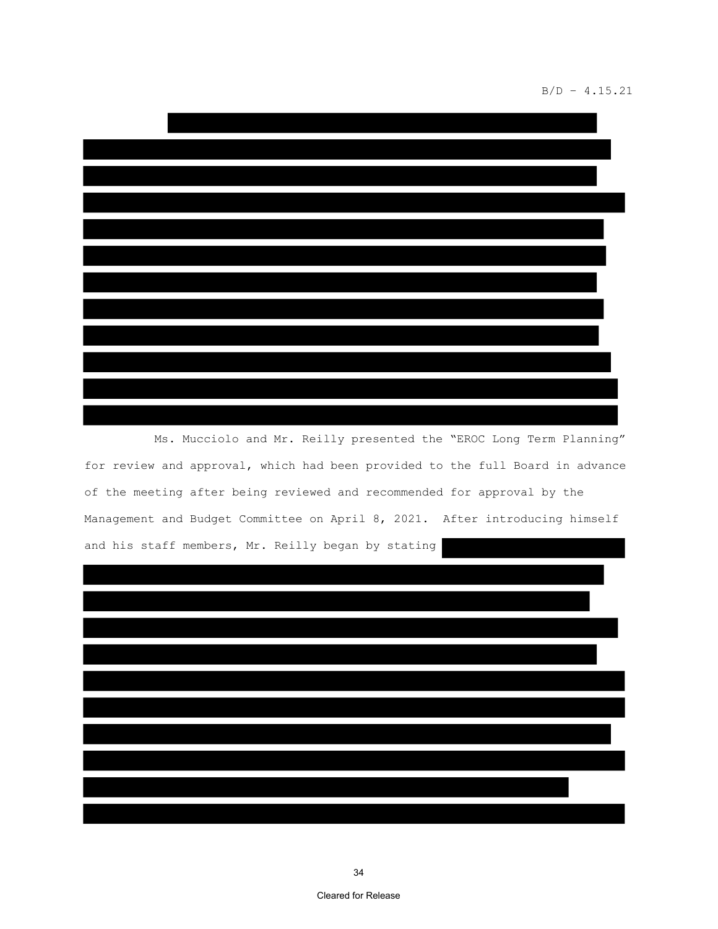### B/D – 4.15.21

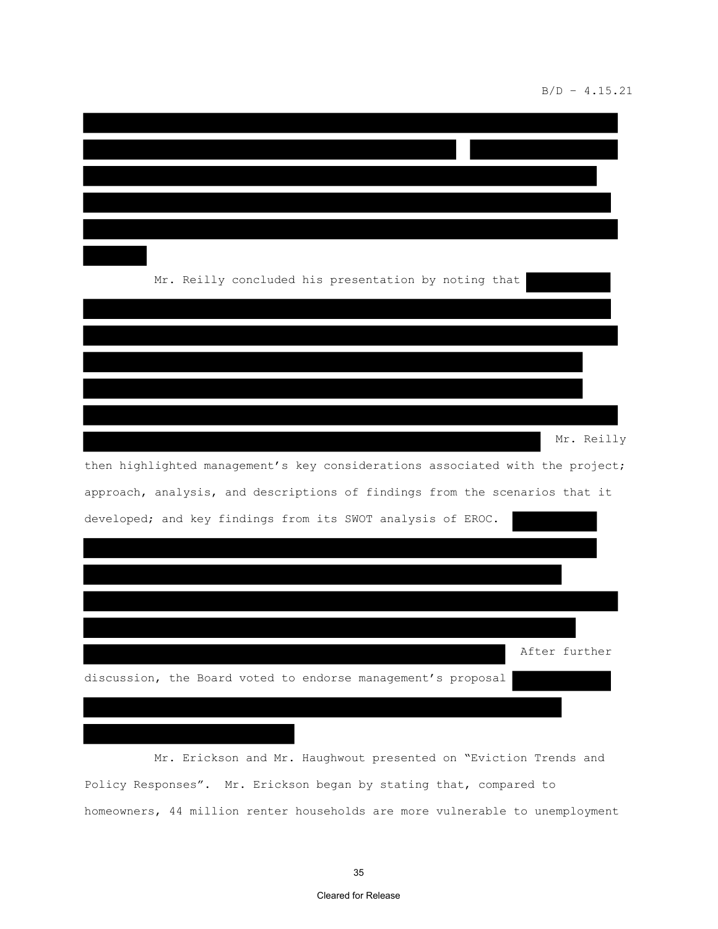# B/D – 4.15.21

| Mr. Reilly concluded his presentation by noting that                          |
|-------------------------------------------------------------------------------|
|                                                                               |
|                                                                               |
|                                                                               |
|                                                                               |
| Mr. Reilly                                                                    |
| then highlighted management's key considerations associated with the project; |
| approach, analysis, and descriptions of findings from the scenarios that it   |
| developed; and key findings from its SWOT analysis of EROC.                   |
|                                                                               |
|                                                                               |
|                                                                               |
|                                                                               |
| After further                                                                 |
| discussion, the Board voted to endorse management's proposal                  |
|                                                                               |
|                                                                               |
|                                                                               |

Mr. Erickson and Mr. Haughwout presented on "Eviction Trends and Policy Responses". Mr. Erickson began by stating that, compared to homeowners, 44 million renter households are more vulnerable to unemployment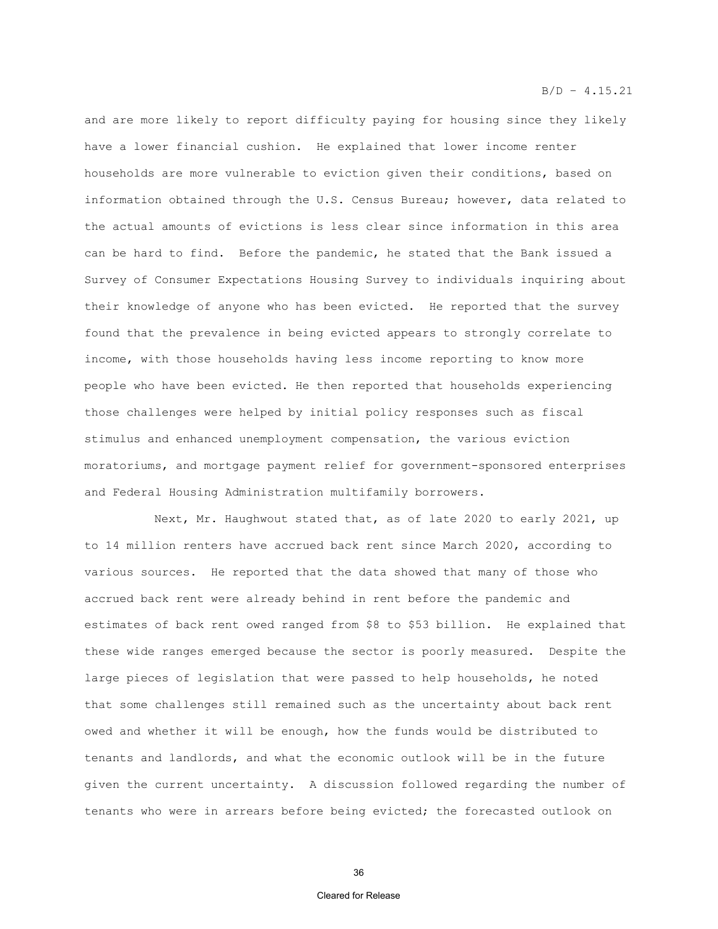and are more likely to report difficulty paying for housing since they likely have a lower financial cushion. He explained that lower income renter households are more vulnerable to eviction given their conditions, based on information obtained through the U.S. Census Bureau; however, data related to the actual amounts of evictions is less clear since information in this area can be hard to find. Before the pandemic, he stated that the Bank issued a Survey of Consumer Expectations Housing Survey to individuals inquiring about their knowledge of anyone who has been evicted. He reported that the survey found that the prevalence in being evicted appears to strongly correlate to income, with those households having less income reporting to know more people who have been evicted. He then reported that households experiencing those challenges were helped by initial policy responses such as fiscal stimulus and enhanced unemployment compensation, the various eviction moratoriums, and mortgage payment relief for government-sponsored enterprises and Federal Housing Administration multifamily borrowers.

Next, Mr. Haughwout stated that, as of late 2020 to early 2021, up to 14 million renters have accrued back rent since March 2020, according to various sources. He reported that the data showed that many of those who accrued back rent were already behind in rent before the pandemic and estimates of back rent owed ranged from \$8 to \$53 billion. He explained that these wide ranges emerged because the sector is poorly measured. Despite the large pieces of legislation that were passed to help households, he noted that some challenges still remained such as the uncertainty about back rent owed and whether it will be enough, how the funds would be distributed to tenants and landlords, and what the economic outlook will be in the future given the current uncertainty. A discussion followed regarding the number of tenants who were in arrears before being evicted; the forecasted outlook on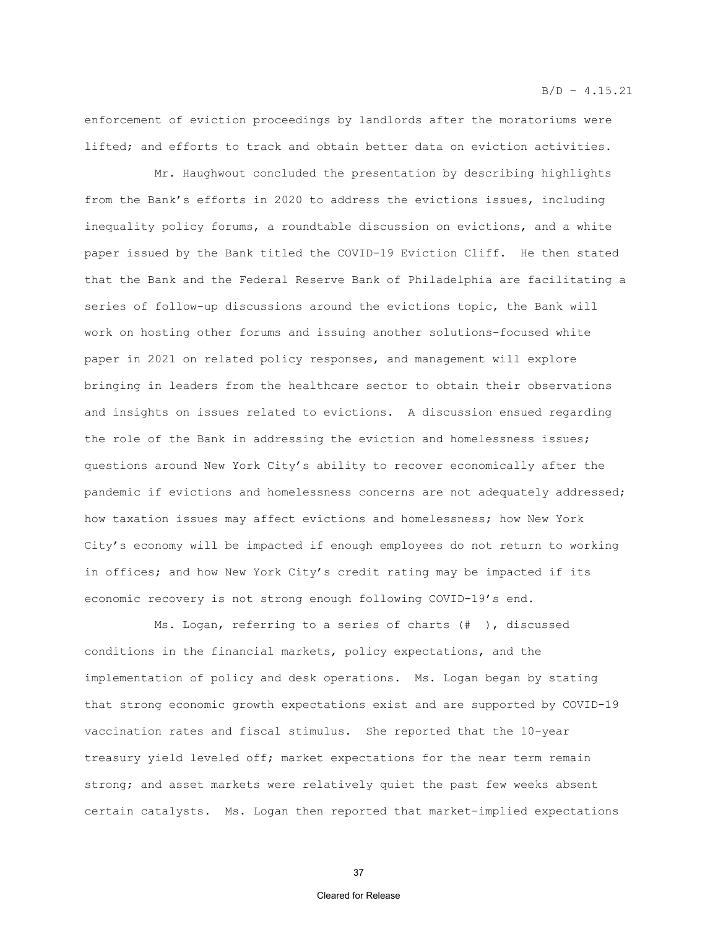enforcement of eviction proceedings by landlords after the moratoriums were lifted; and efforts to track and obtain better data on eviction activities.

Mr. Haughwout concluded the presentation by describing highlights from the Bank's efforts in 2020 to address the evictions issues, including inequality policy forums, a roundtable discussion on evictions, and a white paper issued by the Bank titled the COVID-19 Eviction Cliff. He then stated that the Bank and the Federal Reserve Bank of Philadelphia are facilitating a series of follow-up discussions around the evictions topic, the Bank will work on hosting other forums and issuing another solutions-focused white paper in 2021 on related policy responses, and management will explore bringing in leaders from the healthcare sector to obtain their observations and insights on issues related to evictions. A discussion ensued regarding the role of the Bank in addressing the eviction and homelessness issues; questions around New York City's ability to recover economically after the pandemic if evictions and homelessness concerns are not adequately addressed; how taxation issues may affect evictions and homelessness; how New York City's economy will be impacted if enough employees do not return to working in offices; and how New York City's credit rating may be impacted if its economic recovery is not strong enough following COVID-19's end.

Ms. Logan, referring to a series of charts (# ), discussed conditions in the financial markets, policy expectations, and the implementation of policy and desk operations. Ms. Logan began by stating that strong economic growth expectations exist and are supported by COVID-19 vaccination rates and fiscal stimulus. She reported that the 10-year treasury yield leveled off; market expectations for the near term remain strong; and asset markets were relatively quiet the past few weeks absent certain catalysts. Ms. Logan then reported that market-implied expectations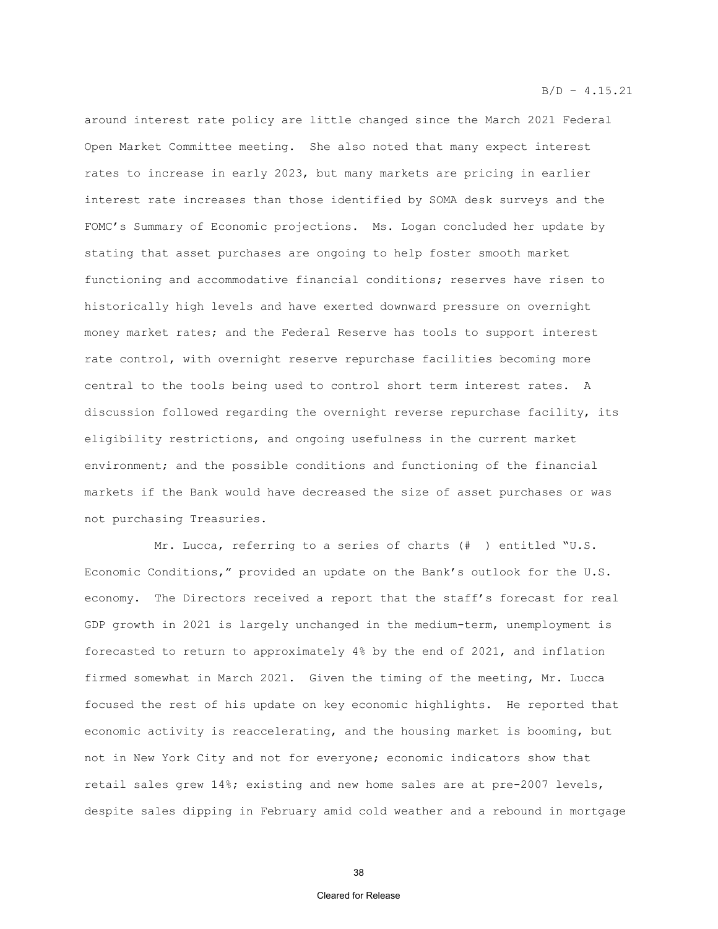around interest rate policy are little changed since the March 2021 Federal Open Market Committee meeting. She also noted that many expect interest rates to increase in early 2023, but many markets are pricing in earlier interest rate increases than those identified by SOMA desk surveys and the FOMC's Summary of Economic projections. Ms. Logan concluded her update by stating that asset purchases are ongoing to help foster smooth market functioning and accommodative financial conditions; reserves have risen to historically high levels and have exerted downward pressure on overnight money market rates; and the Federal Reserve has tools to support interest rate control, with overnight reserve repurchase facilities becoming more central to the tools being used to control short term interest rates. A discussion followed regarding the overnight reverse repurchase facility, its eligibility restrictions, and ongoing usefulness in the current market environment; and the possible conditions and functioning of the financial markets if the Bank would have decreased the size of asset purchases or was not purchasing Treasuries.

Mr. Lucca, referring to a series of charts (# ) entitled "U.S. Economic Conditions," provided an update on the Bank's outlook for the U.S. economy. The Directors received a report that the staff's forecast for real GDP growth in 2021 is largely unchanged in the medium-term, unemployment is forecasted to return to approximately 4% by the end of 2021, and inflation firmed somewhat in March 2021. Given the timing of the meeting, Mr. Lucca focused the rest of his update on key economic highlights. He reported that economic activity is reaccelerating, and the housing market is booming, but not in New York City and not for everyone; economic indicators show that retail sales grew 14%; existing and new home sales are at pre-2007 levels, despite sales dipping in February amid cold weather and a rebound in mortgage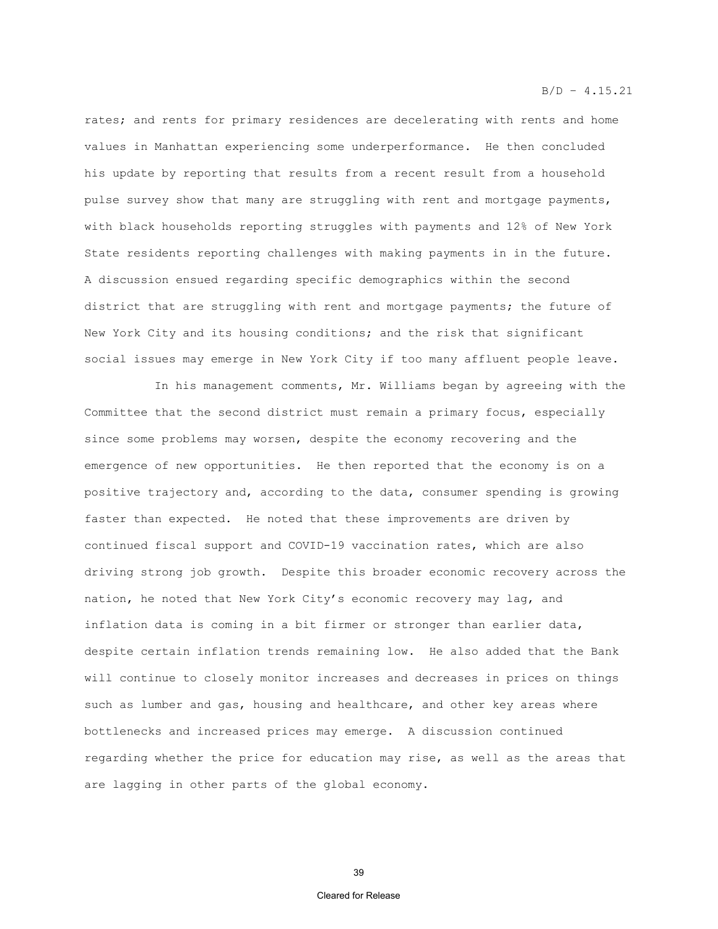rates; and rents for primary residences are decelerating with rents and home values in Manhattan experiencing some underperformance. He then concluded his update by reporting that results from a recent result from a household pulse survey show that many are struggling with rent and mortgage payments, with black households reporting struggles with payments and 12% of New York State residents reporting challenges with making payments in in the future. A discussion ensued regarding specific demographics within the second district that are struggling with rent and mortgage payments; the future of New York City and its housing conditions; and the risk that significant social issues may emerge in New York City if too many affluent people leave.

In his management comments, Mr. Williams began by agreeing with the Committee that the second district must remain a primary focus, especially since some problems may worsen, despite the economy recovering and the emergence of new opportunities. He then reported that the economy is on a positive trajectory and, according to the data, consumer spending is growing faster than expected. He noted that these improvements are driven by continued fiscal support and COVID-19 vaccination rates, which are also driving strong job growth. Despite this broader economic recovery across the nation, he noted that New York City's economic recovery may lag, and inflation data is coming in a bit firmer or stronger than earlier data, despite certain inflation trends remaining low. He also added that the Bank will continue to closely monitor increases and decreases in prices on things such as lumber and gas, housing and healthcare, and other key areas where bottlenecks and increased prices may emerge. A discussion continued regarding whether the price for education may rise, as well as the areas that are lagging in other parts of the global economy.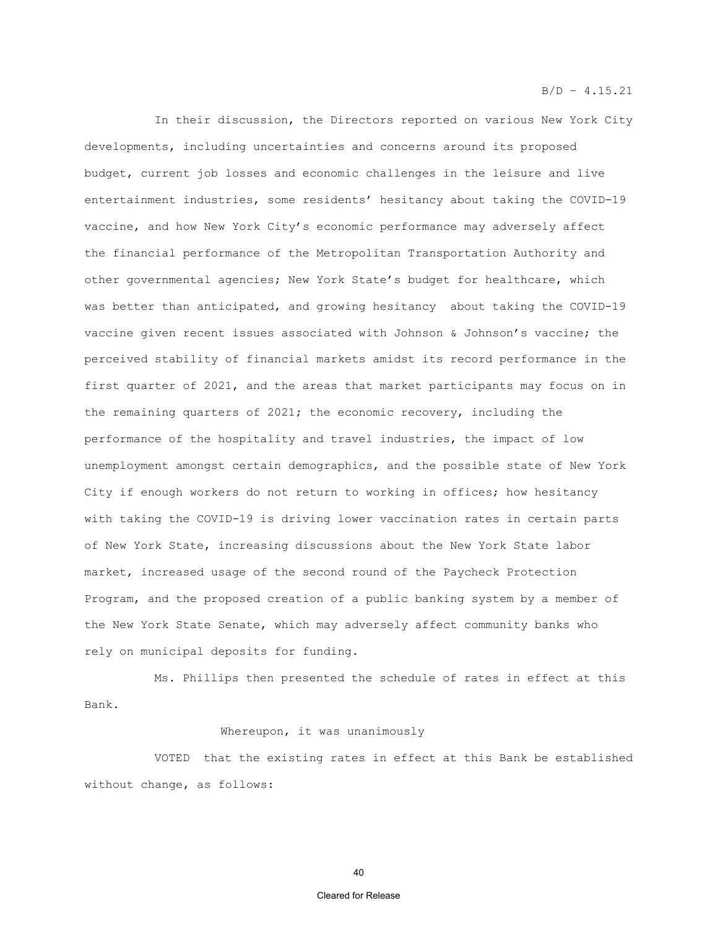In their discussion, the Directors reported on various New York City developments, including uncertainties and concerns around its proposed budget, current job losses and economic challenges in the leisure and live entertainment industries, some residents' hesitancy about taking the COVID-19 vaccine, and how New York City's economic performance may adversely affect the financial performance of the Metropolitan Transportation Authority and other governmental agencies; New York State's budget for healthcare, which was better than anticipated, and growing hesitancy about taking the COVID-19 vaccine given recent issues associated with Johnson & Johnson's vaccine; the perceived stability of financial markets amidst its record performance in the first quarter of 2021, and the areas that market participants may focus on in the remaining quarters of 2021; the economic recovery, including the performance of the hospitality and travel industries, the impact of low unemployment amongst certain demographics, and the possible state of New York City if enough workers do not return to working in offices; how hesitancy with taking the COVID-19 is driving lower vaccination rates in certain parts of New York State, increasing discussions about the New York State labor market, increased usage of the second round of the Paycheck Protection Program, and the proposed creation of a public banking system by a member of the New York State Senate, which may adversely affect community banks who rely on municipal deposits for funding.

Ms. Phillips then presented the schedule of rates in effect at this Bank.

### Whereupon, it was unanimously

VOTED that the existing rates in effect at this Bank be established without change, as follows: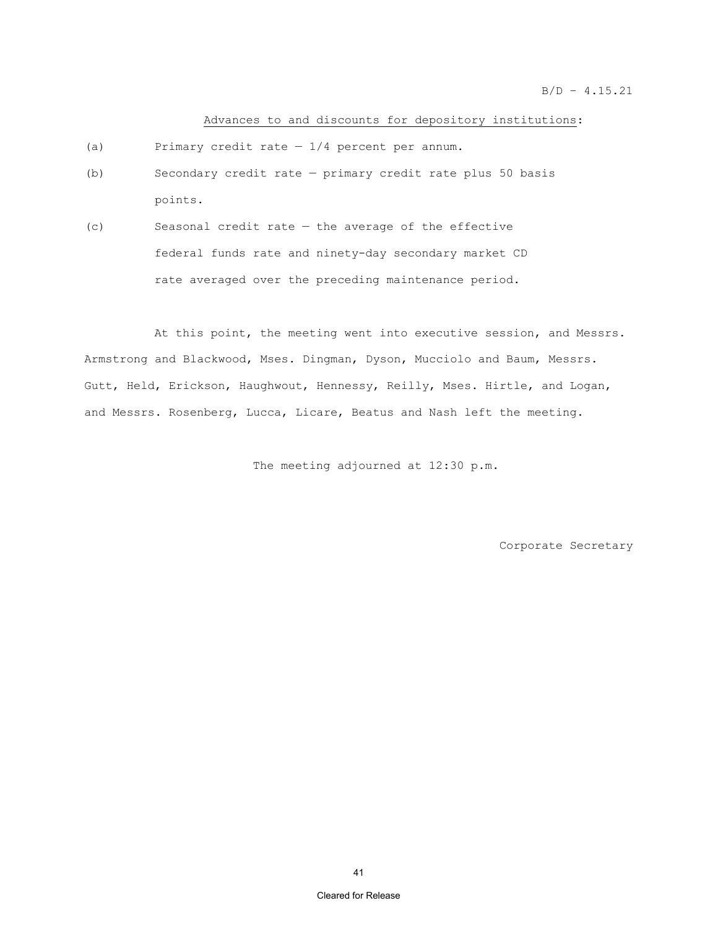### Advances to and discounts for depository institutions:

- (a) Primary credit rate  $-1/4$  percent per annum.
- (b) Secondary credit rate primary credit rate plus 50 basis points.
- (c) Seasonal credit rate the average of the effective federal funds rate and ninety-day secondary market CD rate averaged over the preceding maintenance period.

At this point, the meeting went into executive session, and Messrs. Armstrong and Blackwood, Mses. Dingman, Dyson, Mucciolo and Baum, Messrs. Gutt, Held, Erickson, Haughwout, Hennessy, Reilly, Mses. Hirtle, and Logan, and Messrs. Rosenberg, Lucca, Licare, Beatus and Nash left the meeting.

The meeting adjourned at 12:30 p.m.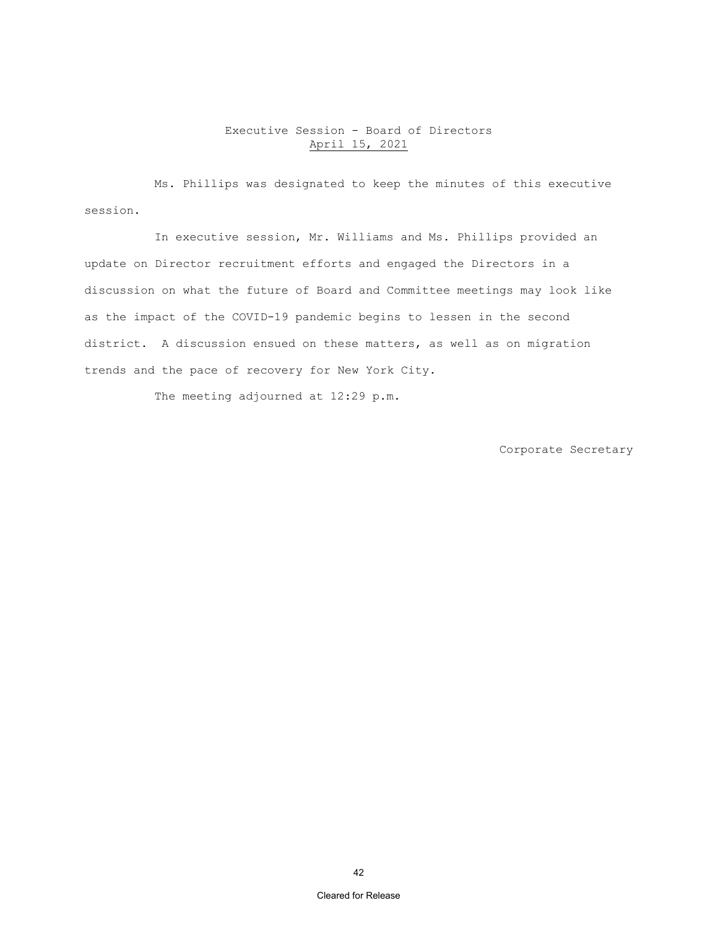# Executive Session - Board of Directors April 15, 2021

Ms. Phillips was designated to keep the minutes of this executive session.

In executive session, Mr. Williams and Ms. Phillips provided an update on Director recruitment efforts and engaged the Directors in a discussion on what the future of Board and Committee meetings may look like as the impact of the COVID-19 pandemic begins to lessen in the second district. A discussion ensued on these matters, as well as on migration trends and the pace of recovery for New York City.

The meeting adjourned at 12:29 p.m.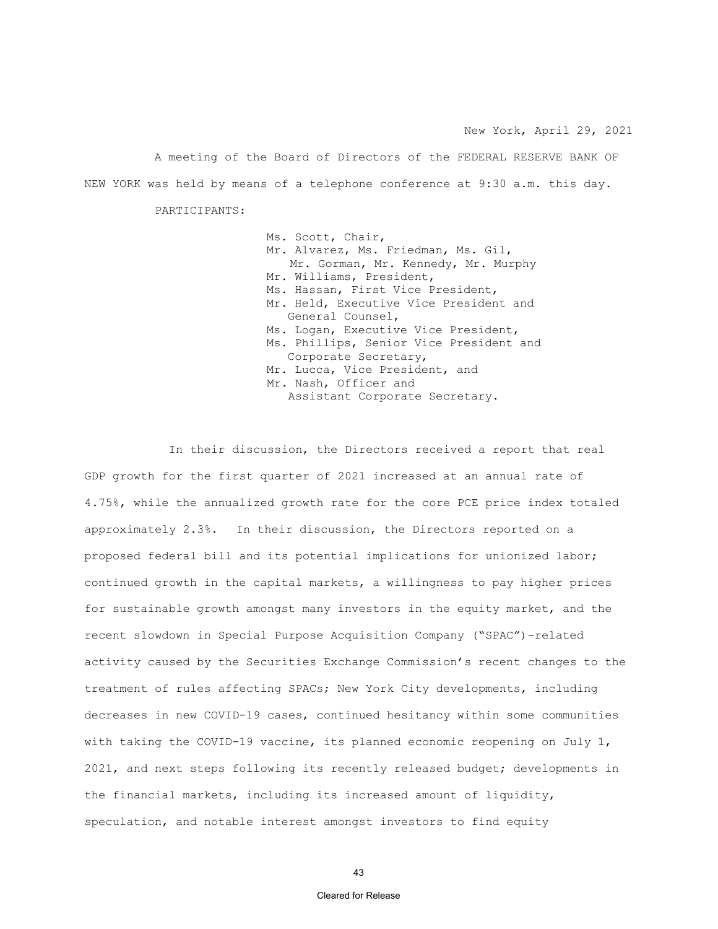A meeting of the Board of Directors of the FEDERAL RESERVE BANK OF NEW YORK was held by means of a telephone conference at 9:30 a.m. this day.

PARTICIPANTS:

Ms. Scott, Chair, Mr. Alvarez, Ms. Friedman, Ms. Gil, Mr. Gorman, Mr. Kennedy, Mr. Murphy Mr. Williams, President, Ms. Hassan, First Vice President, Mr. Held, Executive Vice President and General Counsel, Ms. Logan, Executive Vice President, Ms. Phillips, Senior Vice President and Corporate Secretary, Mr. Lucca, Vice President, and Mr. Nash, Officer and Assistant Corporate Secretary.

In their discussion, the Directors received a report that real GDP growth for the first quarter of 2021 increased at an annual rate of 4.75%, while the annualized growth rate for the core PCE price index totaled approximately 2.3%. In their discussion, the Directors reported on a proposed federal bill and its potential implications for unionized labor; continued growth in the capital markets, a willingness to pay higher prices for sustainable growth amongst many investors in the equity market, and the recent slowdown in Special Purpose Acquisition Company ("SPAC")-related activity caused by the Securities Exchange Commission's recent changes to the treatment of rules affecting SPACs; New York City developments, including decreases in new COVID-19 cases, continued hesitancy within some communities with taking the COVID-19 vaccine, its planned economic reopening on July 1, 2021, and next steps following its recently released budget; developments in the financial markets, including its increased amount of liquidity, speculation, and notable interest amongst investors to find equity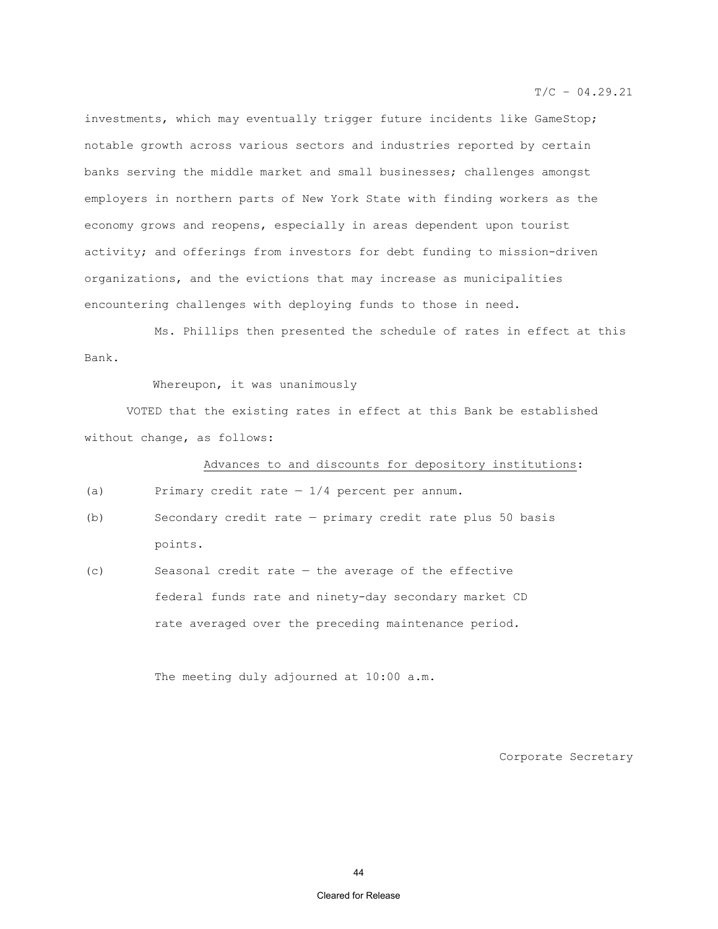investments, which may eventually trigger future incidents like GameStop; notable growth across various sectors and industries reported by certain banks serving the middle market and small businesses; challenges amongst employers in northern parts of New York State with finding workers as the economy grows and reopens, especially in areas dependent upon tourist activity; and offerings from investors for debt funding to mission-driven organizations, and the evictions that may increase as municipalities encountering challenges with deploying funds to those in need.

 Ms. Phillips then presented the schedule of rates in effect at this Bank.

Whereupon, it was unanimously

VOTED that the existing rates in effect at this Bank be established without change, as follows:

Advances to and discounts for depository institutions:

(a) Primary credit rate  $-1/4$  percent per annum.

- (b) Secondary credit rate primary credit rate plus 50 basis points.
- (c) Seasonal credit rate the average of the effective federal funds rate and ninety-day secondary market CD rate averaged over the preceding maintenance period.

The meeting duly adjourned at 10:00 a.m.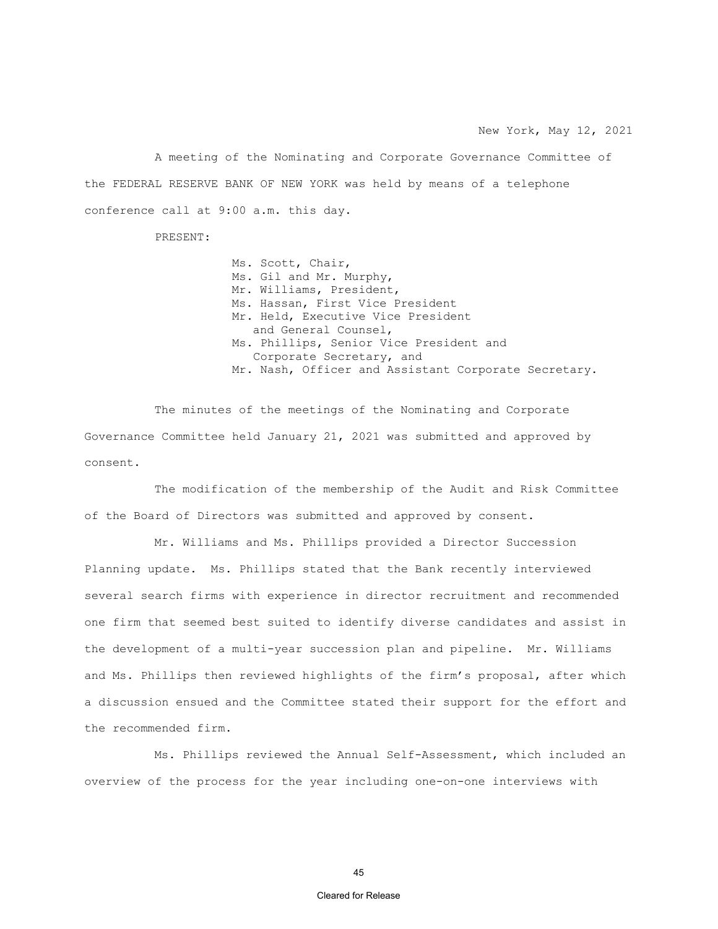A meeting of the Nominating and Corporate Governance Committee of the FEDERAL RESERVE BANK OF NEW YORK was held by means of a telephone conference call at 9:00 a.m. this day.

PRESENT:

 Ms. Scott, Chair, Ms. Gil and Mr. Murphy, Mr. Williams, President, Ms. Hassan, First Vice President Mr. Held, Executive Vice President and General Counsel, Ms. Phillips, Senior Vice President and Corporate Secretary, and Mr. Nash, Officer and Assistant Corporate Secretary.

The minutes of the meetings of the Nominating and Corporate Governance Committee held January 21, 2021 was submitted and approved by consent.

The modification of the membership of the Audit and Risk Committee of the Board of Directors was submitted and approved by consent.

Mr. Williams and Ms. Phillips provided a Director Succession Planning update. Ms. Phillips stated that the Bank recently interviewed several search firms with experience in director recruitment and recommended one firm that seemed best suited to identify diverse candidates and assist in the development of a multi-year succession plan and pipeline. Mr. Williams and Ms. Phillips then reviewed highlights of the firm's proposal, after which a discussion ensued and the Committee stated their support for the effort and the recommended firm.

Ms. Phillips reviewed the Annual Self-Assessment, which included an overview of the process for the year including one-on-one interviews with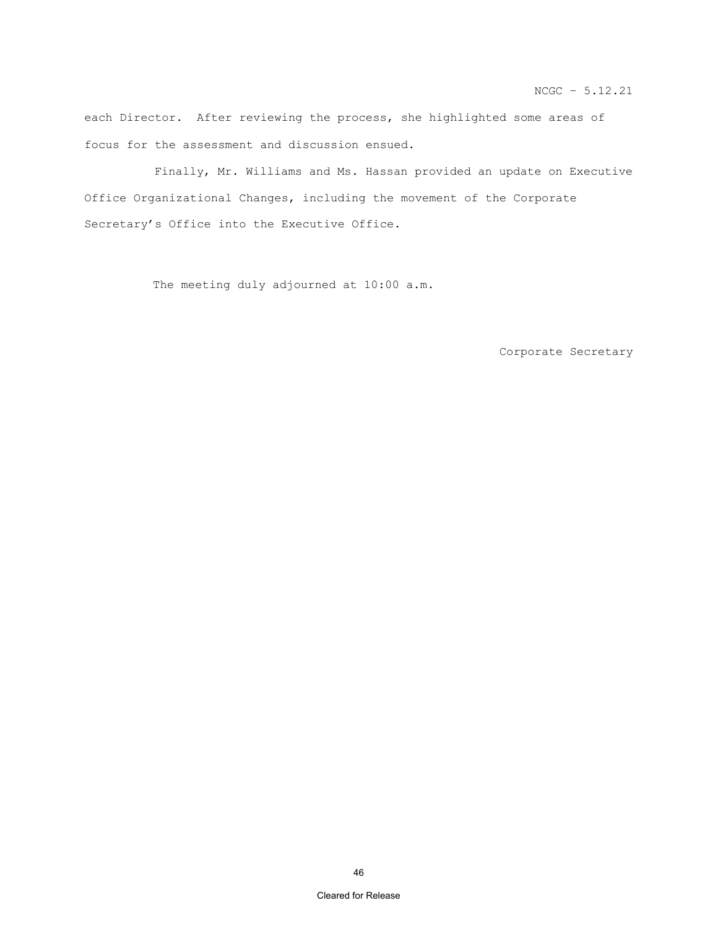each Director. After reviewing the process, she highlighted some areas of focus for the assessment and discussion ensued.

Finally, Mr. Williams and Ms. Hassan provided an update on Executive Office Organizational Changes, including the movement of the Corporate Secretary's Office into the Executive Office.

The meeting duly adjourned at 10:00 a.m.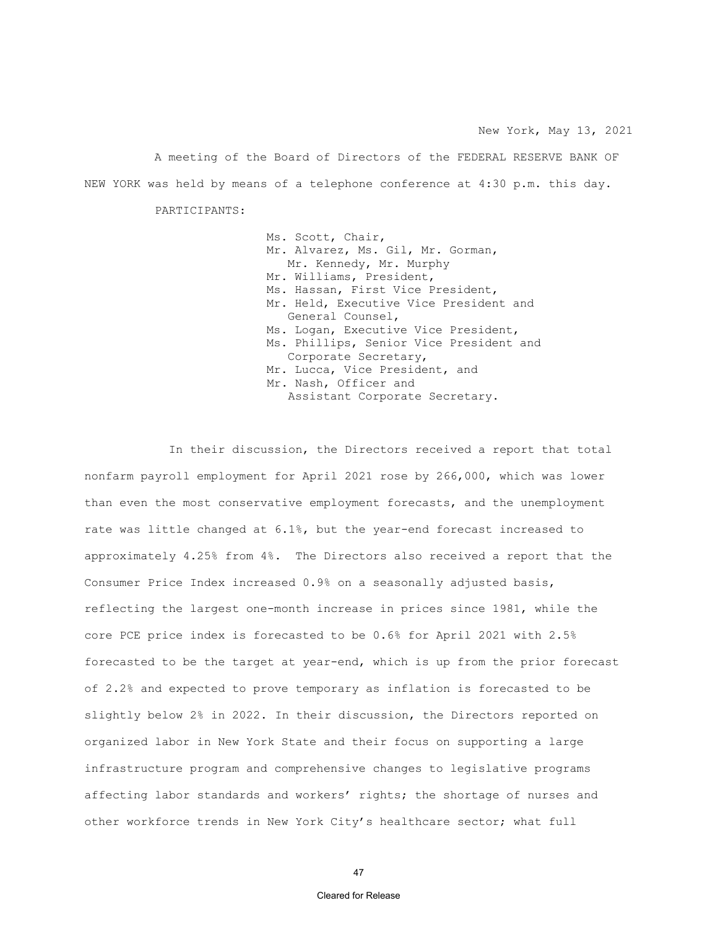A meeting of the Board of Directors of the FEDERAL RESERVE BANK OF NEW YORK was held by means of a telephone conference at 4:30 p.m. this day.

PARTICIPANTS:

Ms. Scott, Chair, Mr. Alvarez, Ms. Gil, Mr. Gorman, Mr. Kennedy, Mr. Murphy Mr. Williams, President, Ms. Hassan, First Vice President, Mr. Held, Executive Vice President and General Counsel, Ms. Logan, Executive Vice President, Ms. Phillips, Senior Vice President and Corporate Secretary, Mr. Lucca, Vice President, and Mr. Nash, Officer and Assistant Corporate Secretary.

In their discussion, the Directors received a report that total nonfarm payroll employment for April 2021 rose by 266,000, which was lower than even the most conservative employment forecasts, and the unemployment rate was little changed at 6.1%, but the year-end forecast increased to approximately 4.25% from 4%. The Directors also received a report that the Consumer Price Index increased 0.9% on a seasonally adjusted basis, reflecting the largest one-month increase in prices since 1981, while the core PCE price index is forecasted to be 0.6% for April 2021 with 2.5% forecasted to be the target at year-end, which is up from the prior forecast of 2.2% and expected to prove temporary as inflation is forecasted to be slightly below 2% in 2022. In their discussion, the Directors reported on organized labor in New York State and their focus on supporting a large infrastructure program and comprehensive changes to legislative programs affecting labor standards and workers' rights; the shortage of nurses and other workforce trends in New York City's healthcare sector; what full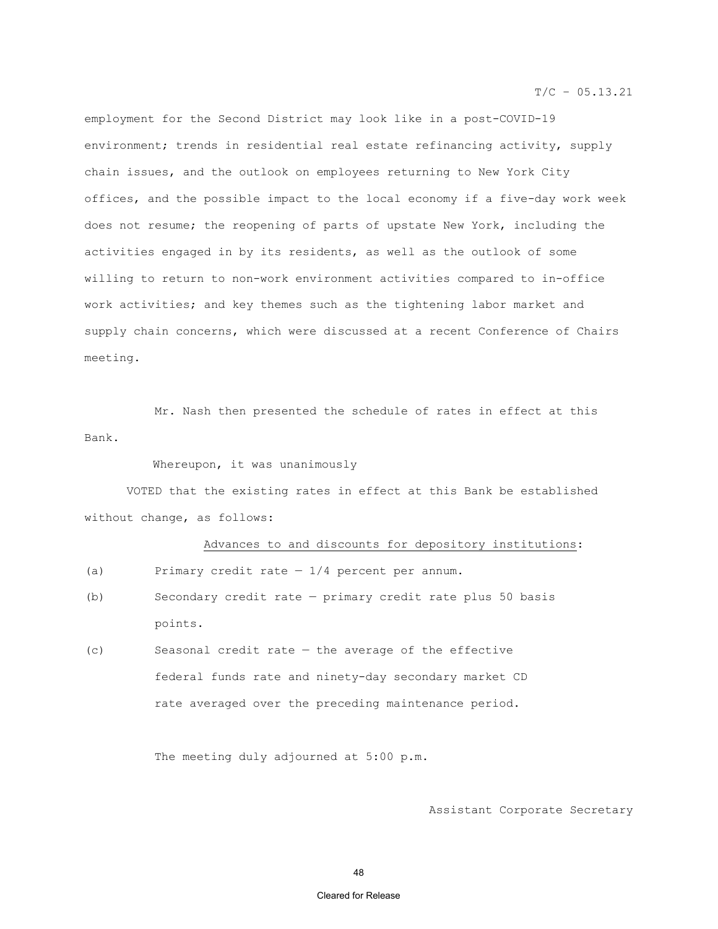$T/C - 05.13.21$ 

employment for the Second District may look like in a post-COVID-19 environment; trends in residential real estate refinancing activity, supply chain issues, and the outlook on employees returning to New York City offices, and the possible impact to the local economy if a five-day work week does not resume; the reopening of parts of upstate New York, including the activities engaged in by its residents, as well as the outlook of some willing to return to non-work environment activities compared to in-office work activities; and key themes such as the tightening labor market and supply chain concerns, which were discussed at a recent Conference of Chairs meeting.

 Mr. Nash then presented the schedule of rates in effect at this Bank.

Whereupon, it was unanimously

VOTED that the existing rates in effect at this Bank be established without change, as follows:

Advances to and discounts for depository institutions:

- (a) Primary credit rate  $-1/4$  percent per annum.
- (b) Secondary credit rate primary credit rate plus 50 basis points.
- (c) Seasonal credit rate the average of the effective federal funds rate and ninety-day secondary market CD rate averaged over the preceding maintenance period.

The meeting duly adjourned at 5:00 p.m.

Assistant Corporate Secretary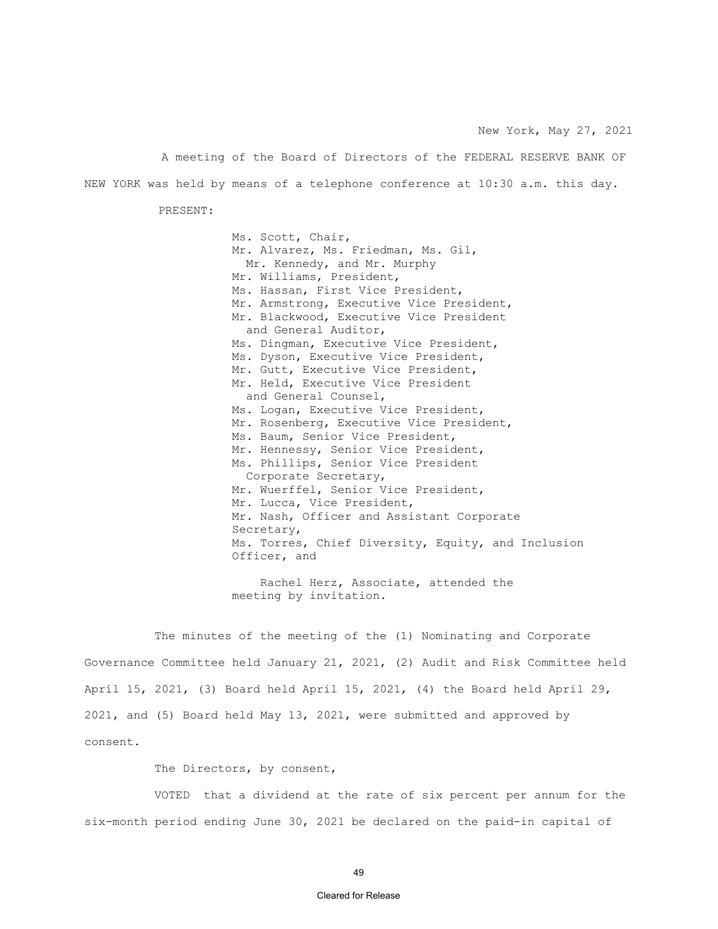A meeting of the Board of Directors of the FEDERAL RESERVE BANK OF NEW YORK was held by means of a telephone conference at 10:30 a.m. this day.

PRESENT:

Ms. Scott, Chair, Mr. Alvarez, Ms. Friedman, Ms. Gil, Mr. Kennedy, and Mr. Murphy Mr. Williams, President, Ms. Hassan, First Vice President, Mr. Armstrong, Executive Vice President, Mr. Blackwood, Executive Vice President and General Auditor, Ms. Dingman, Executive Vice President, Ms. Dyson, Executive Vice President, Mr. Gutt, Executive Vice President, Mr. Held, Executive Vice President and General Counsel, Ms. Logan, Executive Vice President, Mr. Rosenberg, Executive Vice President, Ms. Baum, Senior Vice President, Mr. Hennessy, Senior Vice President, Ms. Phillips, Senior Vice President Corporate Secretary, Mr. Wuerffel, Senior Vice President, Mr. Lucca, Vice President, Mr. Nash, Officer and Assistant Corporate Secretary, Ms. Torres, Chief Diversity, Equity, and Inclusion Officer, and

 Rachel Herz, Associate, attended the meeting by invitation.

The minutes of the meeting of the (1) Nominating and Corporate Governance Committee held January 21, 2021, (2) Audit and Risk Committee held April 15, 2021, (3) Board held April 15, 2021, (4) the Board held April 29, 2021, and (5) Board held May 13, 2021, were submitted and approved by consent.

The Directors, by consent,

VOTED that a dividend at the rate of six percent per annum for the six-month period ending June 30, 2021 be declared on the paid-in capital of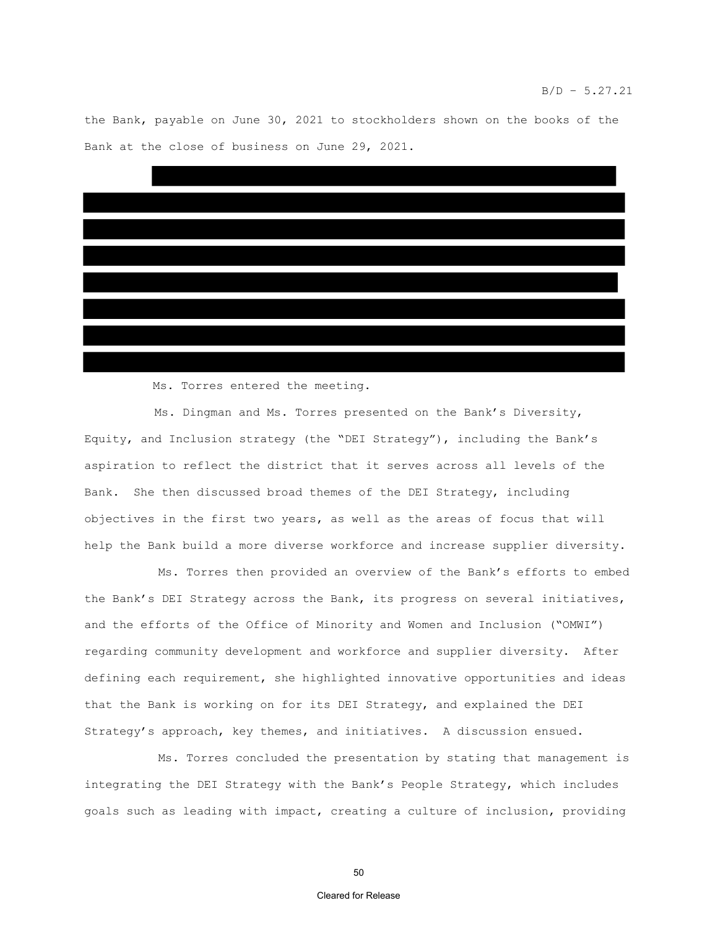the Bank, payable on June 30, 2021 to stockholders shown on the books of the Bank at the close of business on June 29, 2021.



Ms. Torres entered the meeting.

Ms. Dingman and Ms. Torres presented on the Bank's Diversity, Equity, and Inclusion strategy (the "DEI Strategy"), including the Bank's aspiration to reflect the district that it serves across all levels of the Bank. She then discussed broad themes of the DEI Strategy, including objectives in the first two years, as well as the areas of focus that will help the Bank build a more diverse workforce and increase supplier diversity.

Ms. Torres then provided an overview of the Bank's efforts to embed the Bank's DEI Strategy across the Bank, its progress on several initiatives, and the efforts of the Office of Minority and Women and Inclusion ("OMWI") regarding community development and workforce and supplier diversity. After defining each requirement, she highlighted innovative opportunities and ideas that the Bank is working on for its DEI Strategy, and explained the DEI Strategy's approach, key themes, and initiatives. A discussion ensued.

Ms. Torres concluded the presentation by stating that management is integrating the DEI Strategy with the Bank's People Strategy, which includes goals such as leading with impact, creating a culture of inclusion, providing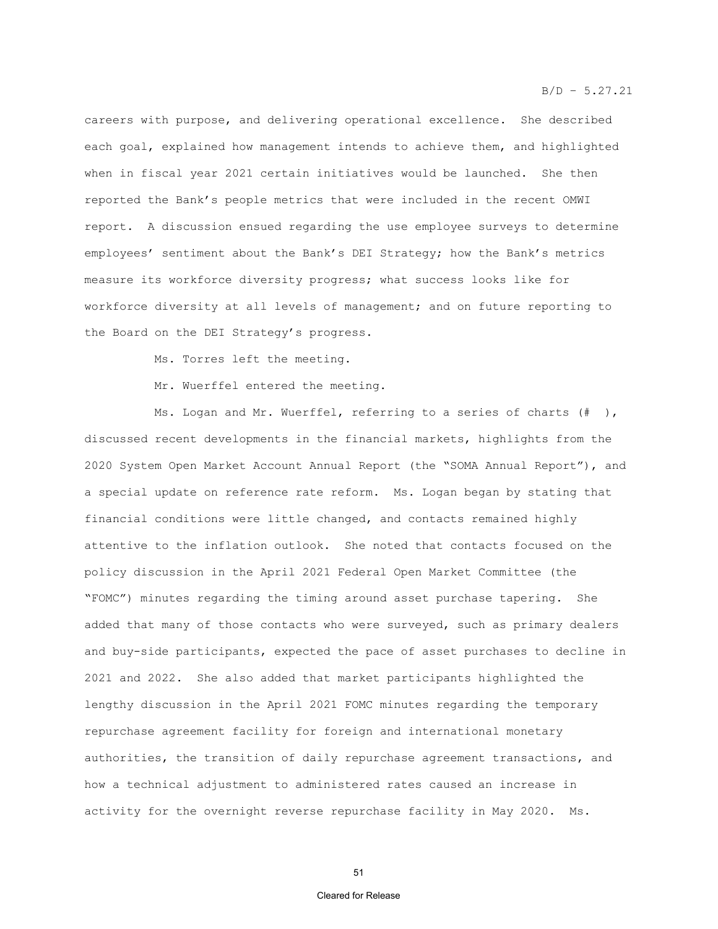careers with purpose, and delivering operational excellence. She described each goal, explained how management intends to achieve them, and highlighted when in fiscal year 2021 certain initiatives would be launched. She then reported the Bank's people metrics that were included in the recent OMWI report. A discussion ensued regarding the use employee surveys to determine employees' sentiment about the Bank's DEI Strategy; how the Bank's metrics measure its workforce diversity progress; what success looks like for workforce diversity at all levels of management; and on future reporting to the Board on the DEI Strategy's progress.

Ms. Torres left the meeting.

Mr. Wuerffel entered the meeting.

Ms. Logan and Mr. Wuerffel, referring to a series of charts (# ), discussed recent developments in the financial markets, highlights from the 2020 System Open Market Account Annual Report (the "SOMA Annual Report"), and a special update on reference rate reform. Ms. Logan began by stating that financial conditions were little changed, and contacts remained highly attentive to the inflation outlook. She noted that contacts focused on the policy discussion in the April 2021 Federal Open Market Committee (the "FOMC") minutes regarding the timing around asset purchase tapering. She added that many of those contacts who were surveyed, such as primary dealers and buy-side participants, expected the pace of asset purchases to decline in 2021 and 2022. She also added that market participants highlighted the lengthy discussion in the April 2021 FOMC minutes regarding the temporary repurchase agreement facility for foreign and international monetary authorities, the transition of daily repurchase agreement transactions, and how a technical adjustment to administered rates caused an increase in activity for the overnight reverse repurchase facility in May 2020. Ms.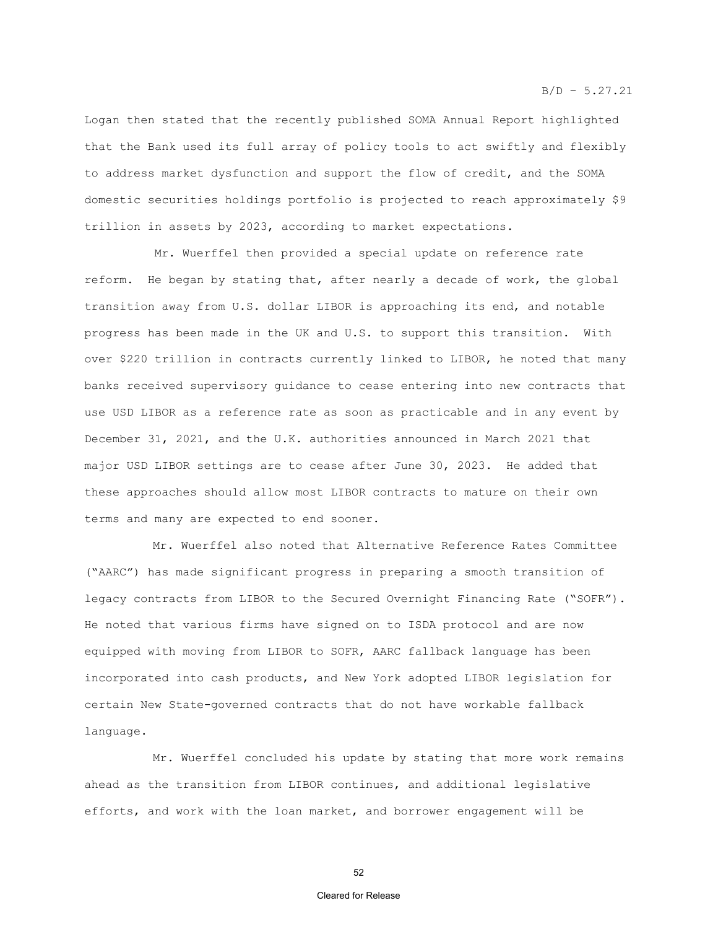Logan then stated that the recently published SOMA Annual Report highlighted that the Bank used its full array of policy tools to act swiftly and flexibly to address market dysfunction and support the flow of credit, and the SOMA domestic securities holdings portfolio is projected to reach approximately \$9 trillion in assets by 2023, according to market expectations.

Mr. Wuerffel then provided a special update on reference rate reform. He began by stating that, after nearly a decade of work, the global transition away from U.S. dollar LIBOR is approaching its end, and notable progress has been made in the UK and U.S. to support this transition. With over \$220 trillion in contracts currently linked to LIBOR, he noted that many banks received supervisory guidance to cease entering into new contracts that use USD LIBOR as a reference rate as soon as practicable and in any event by December 31, 2021, and the U.K. authorities announced in March 2021 that major USD LIBOR settings are to cease after June 30, 2023. He added that these approaches should allow most LIBOR contracts to mature on their own terms and many are expected to end sooner.

Mr. Wuerffel also noted that Alternative Reference Rates Committee ("AARC") has made significant progress in preparing a smooth transition of legacy contracts from LIBOR to the Secured Overnight Financing Rate ("SOFR"). He noted that various firms have signed on to ISDA protocol and are now equipped with moving from LIBOR to SOFR, AARC fallback language has been incorporated into cash products, and New York adopted LIBOR legislation for certain New State-governed contracts that do not have workable fallback language.

Mr. Wuerffel concluded his update by stating that more work remains ahead as the transition from LIBOR continues, and additional legislative efforts, and work with the loan market, and borrower engagement will be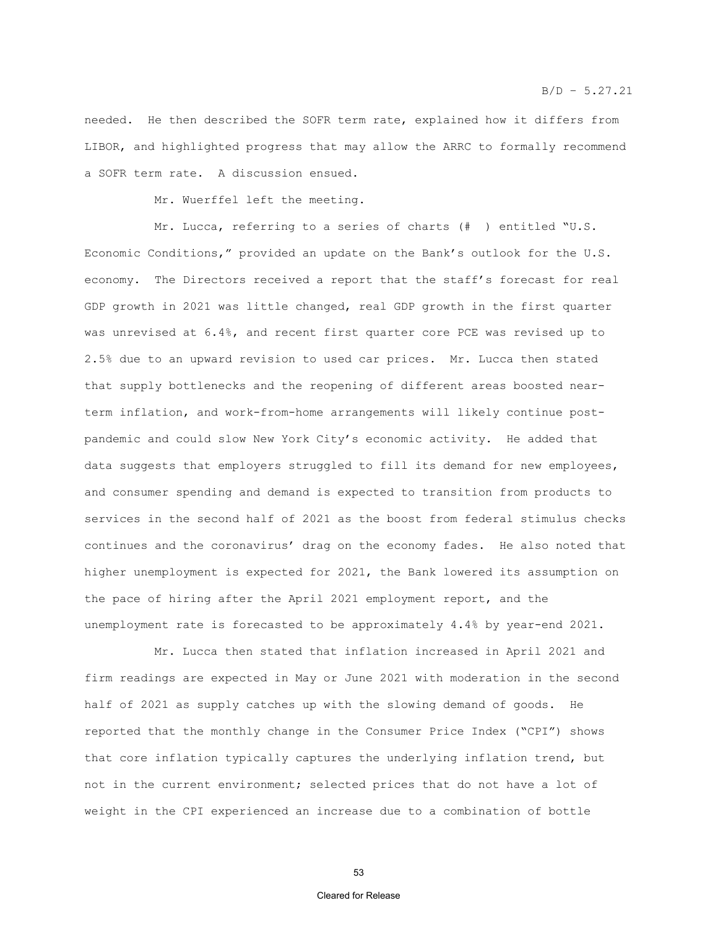needed. He then described the SOFR term rate, explained how it differs from LIBOR, and highlighted progress that may allow the ARRC to formally recommend a SOFR term rate. A discussion ensued.

Mr. Wuerffel left the meeting.

Mr. Lucca, referring to a series of charts (# ) entitled "U.S. Economic Conditions," provided an update on the Bank's outlook for the U.S. economy. The Directors received a report that the staff's forecast for real GDP growth in 2021 was little changed, real GDP growth in the first quarter was unrevised at 6.4%, and recent first quarter core PCE was revised up to 2.5% due to an upward revision to used car prices. Mr. Lucca then stated that supply bottlenecks and the reopening of different areas boosted nearterm inflation, and work-from-home arrangements will likely continue postpandemic and could slow New York City's economic activity. He added that data suggests that employers struggled to fill its demand for new employees, and consumer spending and demand is expected to transition from products to services in the second half of 2021 as the boost from federal stimulus checks continues and the coronavirus' drag on the economy fades. He also noted that higher unemployment is expected for 2021, the Bank lowered its assumption on the pace of hiring after the April 2021 employment report, and the unemployment rate is forecasted to be approximately 4.4% by year-end 2021.

Mr. Lucca then stated that inflation increased in April 2021 and firm readings are expected in May or June 2021 with moderation in the second half of 2021 as supply catches up with the slowing demand of goods. He reported that the monthly change in the Consumer Price Index ("CPI") shows that core inflation typically captures the underlying inflation trend, but not in the current environment; selected prices that do not have a lot of weight in the CPI experienced an increase due to a combination of bottle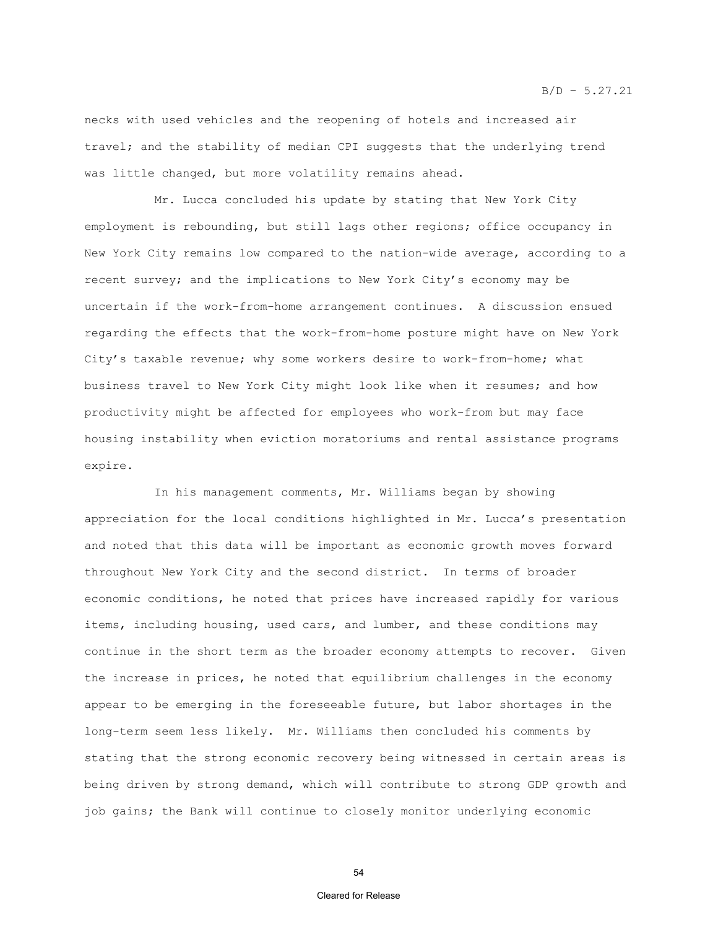$B/D - 5.27.21$ 

necks with used vehicles and the reopening of hotels and increased air travel; and the stability of median CPI suggests that the underlying trend was little changed, but more volatility remains ahead.

Mr. Lucca concluded his update by stating that New York City employment is rebounding, but still lags other regions; office occupancy in New York City remains low compared to the nation-wide average, according to a recent survey; and the implications to New York City's economy may be uncertain if the work-from-home arrangement continues. A discussion ensued regarding the effects that the work-from-home posture might have on New York City's taxable revenue; why some workers desire to work-from-home; what business travel to New York City might look like when it resumes; and how productivity might be affected for employees who work-from but may face housing instability when eviction moratoriums and rental assistance programs expire.

In his management comments, Mr. Williams began by showing appreciation for the local conditions highlighted in Mr. Lucca's presentation and noted that this data will be important as economic growth moves forward throughout New York City and the second district. In terms of broader economic conditions, he noted that prices have increased rapidly for various items, including housing, used cars, and lumber, and these conditions may continue in the short term as the broader economy attempts to recover. Given the increase in prices, he noted that equilibrium challenges in the economy appear to be emerging in the foreseeable future, but labor shortages in the long-term seem less likely. Mr. Williams then concluded his comments by stating that the strong economic recovery being witnessed in certain areas is being driven by strong demand, which will contribute to strong GDP growth and job gains; the Bank will continue to closely monitor underlying economic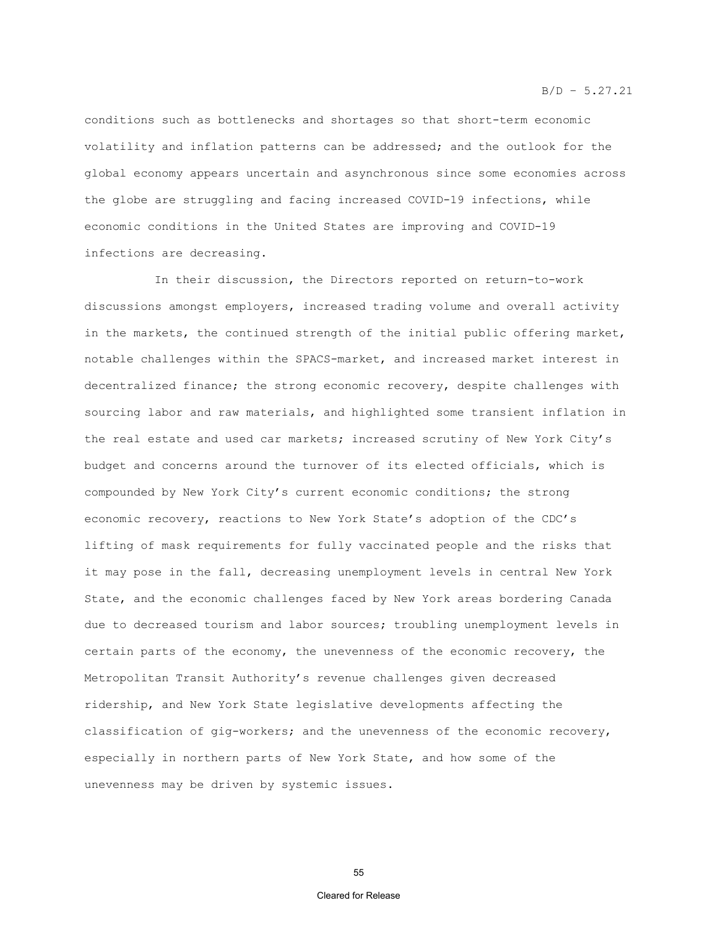conditions such as bottlenecks and shortages so that short-term economic volatility and inflation patterns can be addressed; and the outlook for the global economy appears uncertain and asynchronous since some economies across the globe are struggling and facing increased COVID-19 infections, while economic conditions in the United States are improving and COVID-19 infections are decreasing.

In their discussion, the Directors reported on return-to-work discussions amongst employers, increased trading volume and overall activity in the markets, the continued strength of the initial public offering market, notable challenges within the SPACS-market, and increased market interest in decentralized finance; the strong economic recovery, despite challenges with sourcing labor and raw materials, and highlighted some transient inflation in the real estate and used car markets; increased scrutiny of New York City's budget and concerns around the turnover of its elected officials, which is compounded by New York City's current economic conditions; the strong economic recovery, reactions to New York State's adoption of the CDC's lifting of mask requirements for fully vaccinated people and the risks that it may pose in the fall, decreasing unemployment levels in central New York State, and the economic challenges faced by New York areas bordering Canada due to decreased tourism and labor sources; troubling unemployment levels in certain parts of the economy, the unevenness of the economic recovery, the Metropolitan Transit Authority's revenue challenges given decreased ridership, and New York State legislative developments affecting the classification of gig-workers; and the unevenness of the economic recovery, especially in northern parts of New York State, and how some of the unevenness may be driven by systemic issues.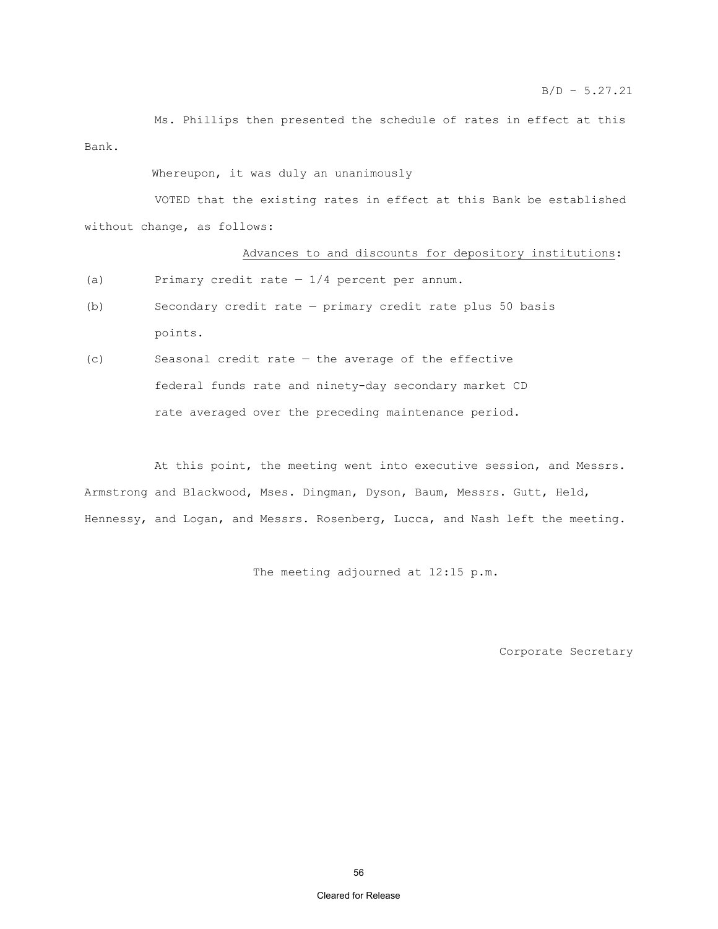Ms. Phillips then presented the schedule of rates in effect at this Bank.

Whereupon, it was duly an unanimously

 VOTED that the existing rates in effect at this Bank be established without change, as follows:

#### Advances to and discounts for depository institutions:

- (a) Primary credit rate  $-1/4$  percent per annum.
- (b) Secondary credit rate primary credit rate plus 50 basis points.
- (c) Seasonal credit rate the average of the effective federal funds rate and ninety-day secondary market CD rate averaged over the preceding maintenance period.

At this point, the meeting went into executive session, and Messrs. Armstrong and Blackwood, Mses. Dingman, Dyson, Baum, Messrs. Gutt, Held, Hennessy, and Logan, and Messrs. Rosenberg, Lucca, and Nash left the meeting.

The meeting adjourned at 12:15 p.m.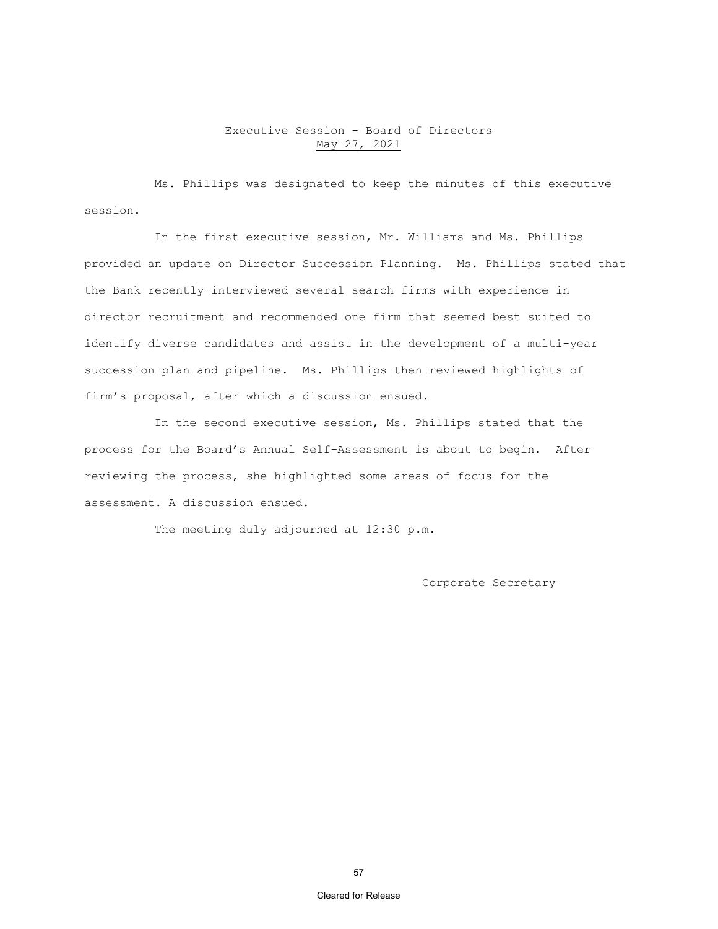# Executive Session - Board of Directors May 27, 2021

Ms. Phillips was designated to keep the minutes of this executive session.

In the first executive session, Mr. Williams and Ms. Phillips provided an update on Director Succession Planning. Ms. Phillips stated that the Bank recently interviewed several search firms with experience in director recruitment and recommended one firm that seemed best suited to identify diverse candidates and assist in the development of a multi-year succession plan and pipeline. Ms. Phillips then reviewed highlights of firm's proposal, after which a discussion ensued.

In the second executive session, Ms. Phillips stated that the process for the Board's Annual Self-Assessment is about to begin. After reviewing the process, she highlighted some areas of focus for the assessment. A discussion ensued.

The meeting duly adjourned at 12:30 p.m.

Corporate Secretary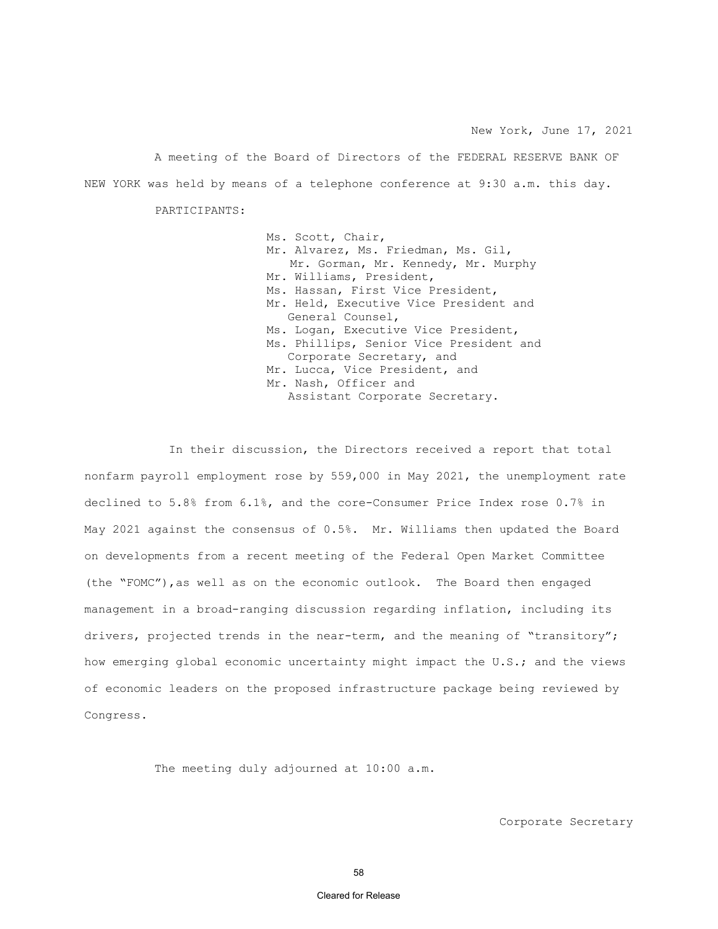A meeting of the Board of Directors of the FEDERAL RESERVE BANK OF NEW YORK was held by means of a telephone conference at 9:30 a.m. this day.

PARTICIPANTS:

Ms. Scott, Chair, Mr. Alvarez, Ms. Friedman, Ms. Gil, Mr. Gorman, Mr. Kennedy, Mr. Murphy Mr. Williams, President, Ms. Hassan, First Vice President, Mr. Held, Executive Vice President and General Counsel, Ms. Logan, Executive Vice President, Ms. Phillips, Senior Vice President and Corporate Secretary, and Mr. Lucca, Vice President, and Mr. Nash, Officer and Assistant Corporate Secretary.

In their discussion, the Directors received a report that total nonfarm payroll employment rose by 559,000 in May 2021, the unemployment rate declined to 5.8% from 6.1%, and the core-Consumer Price Index rose 0.7% in May 2021 against the consensus of 0.5%. Mr. Williams then updated the Board on developments from a recent meeting of the Federal Open Market Committee (the "FOMC"),as well as on the economic outlook. The Board then engaged management in a broad-ranging discussion regarding inflation, including its drivers, projected trends in the near-term, and the meaning of "transitory"; how emerging global economic uncertainty might impact the U.S.; and the views of economic leaders on the proposed infrastructure package being reviewed by Congress.

The meeting duly adjourned at 10:00 a.m.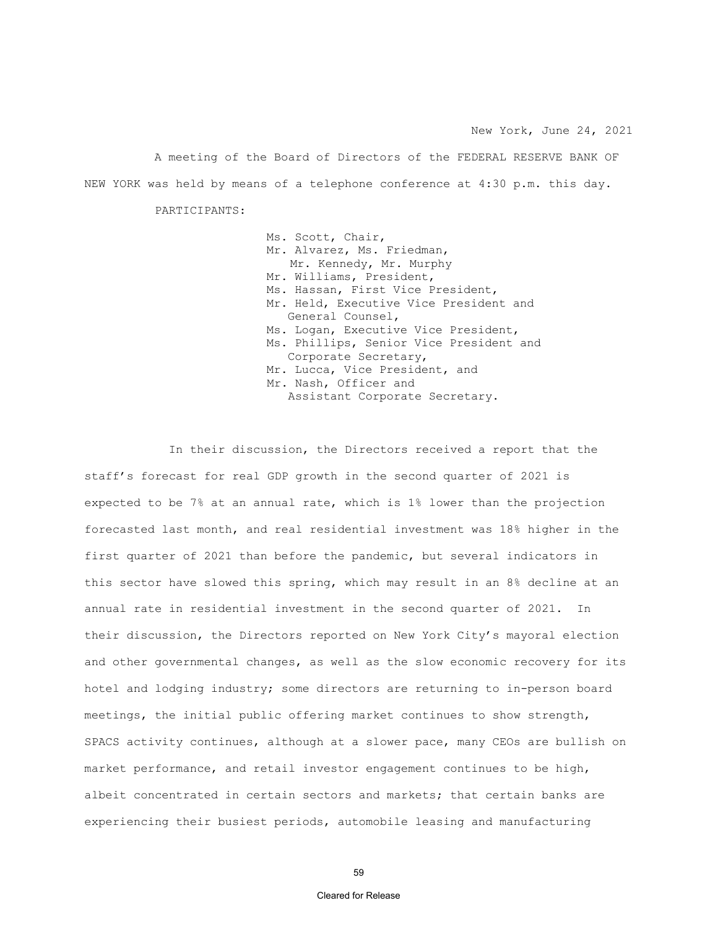A meeting of the Board of Directors of the FEDERAL RESERVE BANK OF NEW YORK was held by means of a telephone conference at 4:30 p.m. this day.

PARTICIPANTS:

Ms. Scott, Chair, Mr. Alvarez, Ms. Friedman, Mr. Kennedy, Mr. Murphy Mr. Williams, President, Ms. Hassan, First Vice President, Mr. Held, Executive Vice President and General Counsel, Ms. Logan, Executive Vice President, Ms. Phillips, Senior Vice President and Corporate Secretary, Mr. Lucca, Vice President, and Mr. Nash, Officer and Assistant Corporate Secretary.

In their discussion, the Directors received a report that the staff's forecast for real GDP growth in the second quarter of 2021 is expected to be 7% at an annual rate, which is 1% lower than the projection forecasted last month, and real residential investment was 18% higher in the first quarter of 2021 than before the pandemic, but several indicators in this sector have slowed this spring, which may result in an 8% decline at an annual rate in residential investment in the second quarter of 2021. In their discussion, the Directors reported on New York City's mayoral election and other governmental changes, as well as the slow economic recovery for its hotel and lodging industry; some directors are returning to in-person board meetings, the initial public offering market continues to show strength, SPACS activity continues, although at a slower pace, many CEOs are bullish on market performance, and retail investor engagement continues to be high, albeit concentrated in certain sectors and markets; that certain banks are experiencing their busiest periods, automobile leasing and manufacturing